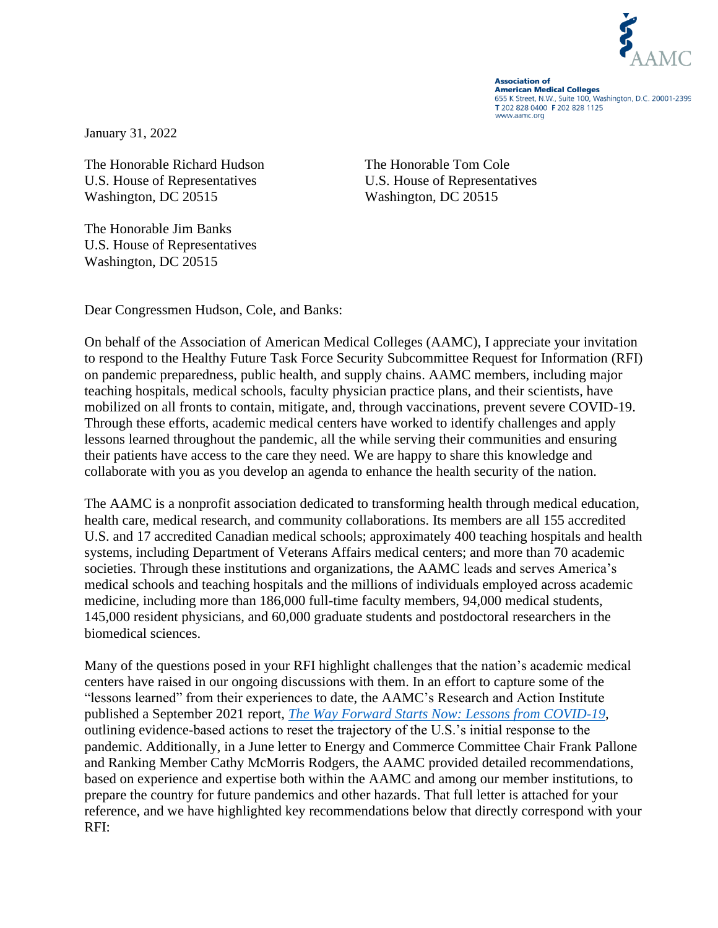

**Association of American Medical Colleges** 655 K Street, N.W., Suite 100, Washington, D.C. 20001-2399 T 202 828 0400 F 202 828 1125 www.aamc.org

January 31, 2022

The Honorable Richard Hudson The Honorable Tom Cole U.S. House of Representatives U.S. House of Representatives Washington, DC 20515 Washington, DC 20515

The Honorable Jim Banks U.S. House of Representatives Washington, DC 20515

Dear Congressmen Hudson, Cole, and Banks:

On behalf of the Association of American Medical Colleges (AAMC), I appreciate your invitation to respond to the Healthy Future Task Force Security Subcommittee Request for Information (RFI) on pandemic preparedness, public health, and supply chains. AAMC members, including major teaching hospitals, medical schools, faculty physician practice plans, and their scientists, have mobilized on all fronts to contain, mitigate, and, through vaccinations, prevent severe COVID-19. Through these efforts, academic medical centers have worked to identify challenges and apply lessons learned throughout the pandemic, all the while serving their communities and ensuring their patients have access to the care they need. We are happy to share this knowledge and collaborate with you as you develop an agenda to enhance the health security of the nation.

The AAMC is a nonprofit association dedicated to transforming health through medical education, health care, medical research, and community collaborations. Its members are all 155 accredited U.S. and 17 accredited Canadian medical schools; approximately 400 teaching hospitals and health systems, including Department of Veterans Affairs medical centers; and more than 70 academic societies. Through these institutions and organizations, the AAMC leads and serves America's medical schools and teaching hospitals and the millions of individuals employed across academic medicine, including more than 186,000 full-time faculty members, 94,000 medical students, 145,000 resident physicians, and 60,000 graduate students and postdoctoral researchers in the biomedical sciences.

Many of the questions posed in your RFI highlight challenges that the nation's academic medical centers have raised in our ongoing discussions with them. In an effort to capture some of the "lessons learned" from their experiences to date, the AAMC's Research and Action Institute published a September 2021 report, *[The Way Forward Starts Now: Lessons from COVID-19](https://www.aamc.org/media/56251/download?attachment)*, outlining evidence-based actions to reset the trajectory of the U.S.'s initial response to the pandemic. Additionally, in a June letter to Energy and Commerce Committee Chair Frank Pallone and Ranking Member Cathy McMorris Rodgers, the AAMC provided detailed recommendations, based on experience and expertise both within the AAMC and among our member institutions, to prepare the country for future pandemics and other hazards. That full letter is attached for your reference, and we have highlighted key recommendations below that directly correspond with your RFI: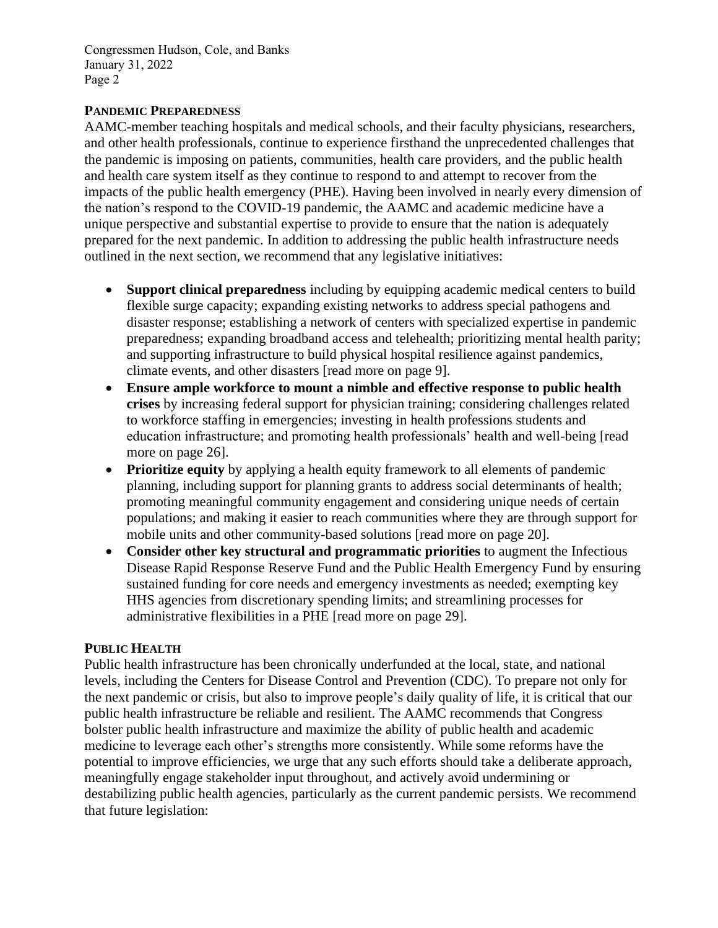Congressmen Hudson, Cole, and Banks January 31, 2022 Page 2

## **PANDEMIC PREPAREDNESS**

AAMC-member teaching hospitals and medical schools, and their faculty physicians, researchers, and other health professionals, continue to experience firsthand the unprecedented challenges that the pandemic is imposing on patients, communities, health care providers, and the public health and health care system itself as they continue to respond to and attempt to recover from the impacts of the public health emergency (PHE). Having been involved in nearly every dimension of the nation's respond to the COVID-19 pandemic, the AAMC and academic medicine have a unique perspective and substantial expertise to provide to ensure that the nation is adequately prepared for the next pandemic. In addition to addressing the public health infrastructure needs outlined in the next section, we recommend that any legislative initiatives:

- **Support clinical preparedness** including by equipping academic medical centers to build flexible surge capacity; expanding existing networks to address special pathogens and disaster response; establishing a network of centers with specialized expertise in pandemic preparedness; expanding broadband access and telehealth; prioritizing mental health parity; and supporting infrastructure to build physical hospital resilience against pandemics, climate events, and other disasters [read more on page 9].
- **Ensure ample workforce to mount a nimble and effective response to public health crises** by increasing federal support for physician training; considering challenges related to workforce staffing in emergencies; investing in health professions students and education infrastructure; and promoting health professionals' health and well-being [read more on page 26].
- **Prioritize equity** by applying a health equity framework to all elements of pandemic planning, including support for planning grants to address social determinants of health; promoting meaningful community engagement and considering unique needs of certain populations; and making it easier to reach communities where they are through support for mobile units and other community-based solutions [read more on page 20].
- **Consider other key structural and programmatic priorities** to augment the Infectious Disease Rapid Response Reserve Fund and the Public Health Emergency Fund by ensuring sustained funding for core needs and emergency investments as needed; exempting key HHS agencies from discretionary spending limits; and streamlining processes for administrative flexibilities in a PHE [read more on page 29].

## **PUBLIC HEALTH**

Public health infrastructure has been chronically underfunded at the local, state, and national levels, including the Centers for Disease Control and Prevention (CDC). To prepare not only for the next pandemic or crisis, but also to improve people's daily quality of life, it is critical that our public health infrastructure be reliable and resilient. The AAMC recommends that Congress bolster public health infrastructure and maximize the ability of public health and academic medicine to leverage each other's strengths more consistently. While some reforms have the potential to improve efficiencies, we urge that any such efforts should take a deliberate approach, meaningfully engage stakeholder input throughout, and actively avoid undermining or destabilizing public health agencies, particularly as the current pandemic persists. We recommend that future legislation: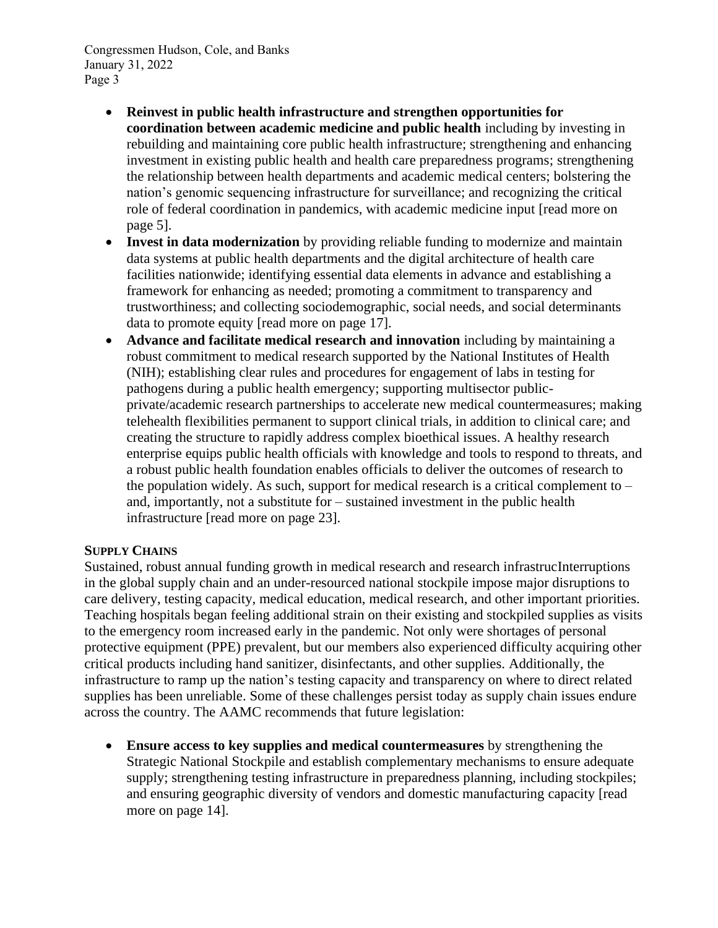Congressmen Hudson, Cole, and Banks January 31, 2022 Page 3

- **Reinvest in public health infrastructure and strengthen opportunities for coordination between academic medicine and public health** including by investing in rebuilding and maintaining core public health infrastructure; strengthening and enhancing investment in existing public health and health care preparedness programs; strengthening the relationship between health departments and academic medical centers; bolstering the nation's genomic sequencing infrastructure for surveillance; and recognizing the critical role of federal coordination in pandemics, with academic medicine input [read more on page 5].
- **Invest in data modernization** by providing reliable funding to modernize and maintain data systems at public health departments and the digital architecture of health care facilities nationwide; identifying essential data elements in advance and establishing a framework for enhancing as needed; promoting a commitment to transparency and trustworthiness; and collecting sociodemographic, social needs, and social determinants data to promote equity [read more on page 17].
- **Advance and facilitate medical research and innovation** including by maintaining a robust commitment to medical research supported by the National Institutes of Health (NIH); establishing clear rules and procedures for engagement of labs in testing for pathogens during a public health emergency; supporting multisector publicprivate/academic research partnerships to accelerate new medical countermeasures; making telehealth flexibilities permanent to support clinical trials, in addition to clinical care; and creating the structure to rapidly address complex bioethical issues. A healthy research enterprise equips public health officials with knowledge and tools to respond to threats, and a robust public health foundation enables officials to deliver the outcomes of research to the population widely. As such, support for medical research is a critical complement to  $$ and, importantly, not a substitute for – sustained investment in the public health infrastructure [read more on page 23].

# **SUPPLY CHAINS**

Sustained, robust annual funding growth in medical research and research infrastrucInterruptions in the global supply chain and an under-resourced national stockpile impose major disruptions to care delivery, testing capacity, medical education, medical research, and other important priorities. Teaching hospitals began feeling additional strain on their existing and stockpiled supplies as visits to the emergency room increased early in the pandemic. Not only were shortages of personal protective equipment (PPE) prevalent, but our members also experienced difficulty acquiring other critical products including hand sanitizer, disinfectants, and other supplies. Additionally, the infrastructure to ramp up the nation's testing capacity and transparency on where to direct related supplies has been unreliable. Some of these challenges persist today as supply chain issues endure across the country. The AAMC recommends that future legislation:

• **Ensure access to key supplies and medical countermeasures** by strengthening the Strategic National Stockpile and establish complementary mechanisms to ensure adequate supply; strengthening testing infrastructure in preparedness planning, including stockpiles; and ensuring geographic diversity of vendors and domestic manufacturing capacity [read more on page 14].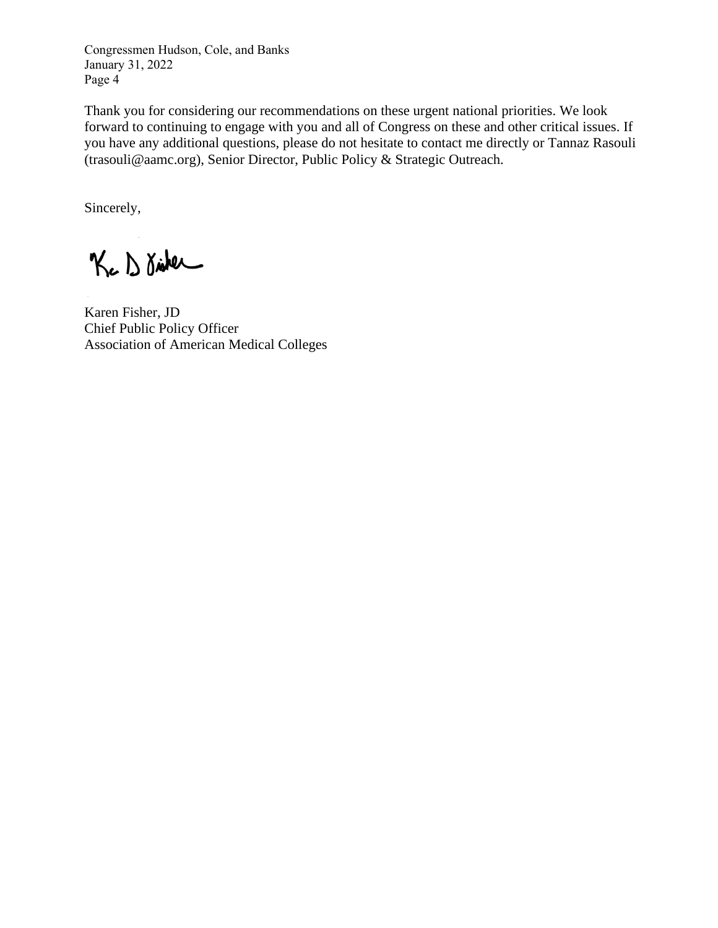Congressmen Hudson, Cole, and Banks January 31, 2022 Page 4

Thank you for considering our recommendations on these urgent national priorities. We look forward to continuing to engage with you and all of Congress on these and other critical issues. If you have any additional questions, please do not hesitate to contact me directly or Tannaz Rasouli (trasouli@aamc.org), Senior Director, Public Policy & Strategic Outreach.

Sincerely,

Kc D Disker

Karen Fisher, JD Chief Public Policy Officer Association of American Medical Colleges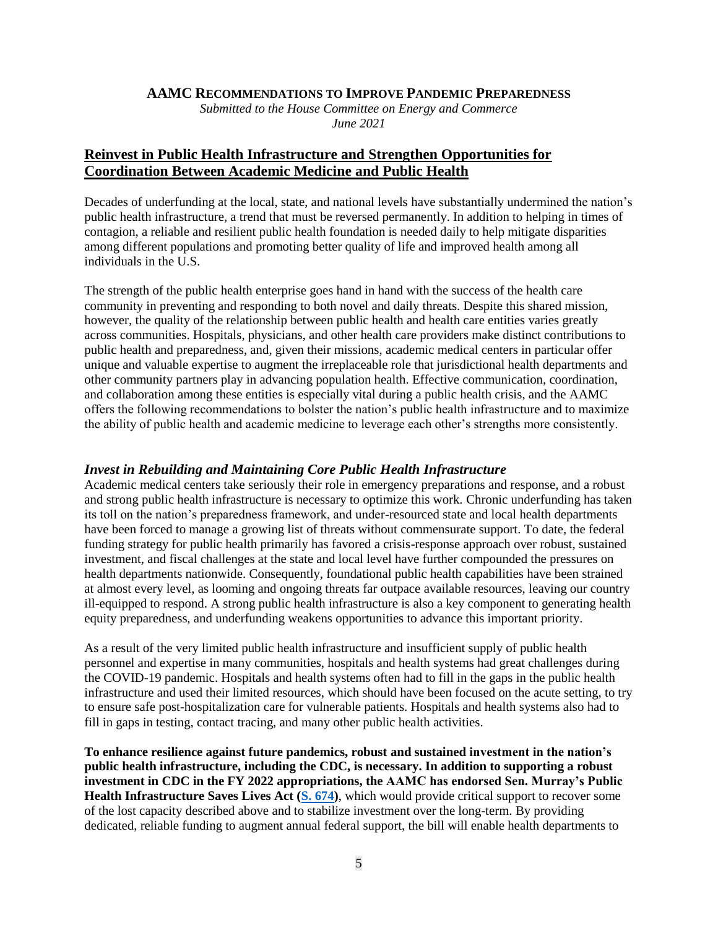#### **AAMC RECOMMENDATIONS TO IMPROVE PANDEMIC PREPAREDNESS**

*Submitted to the House Committee on Energy and Commerce June 2021*

# **Reinvest in Public Health Infrastructure and Strengthen Opportunities for Coordination Between Academic Medicine and Public Health**

Decades of underfunding at the local, state, and national levels have substantially undermined the nation's public health infrastructure, a trend that must be reversed permanently. In addition to helping in times of contagion, a reliable and resilient public health foundation is needed daily to help mitigate disparities among different populations and promoting better quality of life and improved health among all individuals in the U.S.

The strength of the public health enterprise goes hand in hand with the success of the health care community in preventing and responding to both novel and daily threats. Despite this shared mission, however, the quality of the relationship between public health and health care entities varies greatly across communities. Hospitals, physicians, and other health care providers make distinct contributions to public health and preparedness, and, given their missions, academic medical centers in particular offer unique and valuable expertise to augment the irreplaceable role that jurisdictional health departments and other community partners play in advancing population health. Effective communication, coordination, and collaboration among these entities is especially vital during a public health crisis, and the AAMC offers the following recommendations to bolster the nation's public health infrastructure and to maximize the ability of public health and academic medicine to leverage each other's strengths more consistently.

### *Invest in Rebuilding and Maintaining Core Public Health Infrastructure*

Academic medical centers take seriously their role in emergency preparations and response, and a robust and strong public health infrastructure is necessary to optimize this work. Chronic underfunding has taken its toll on the nation's preparedness framework, and under-resourced state and local health departments have been forced to manage a growing list of threats without commensurate support. To date, the federal funding strategy for public health primarily has favored a crisis-response approach over robust, sustained investment, and fiscal challenges at the state and local level have further compounded the pressures on health departments nationwide. Consequently, foundational public health capabilities have been strained at almost every level, as looming and ongoing threats far outpace available resources, leaving our country ill-equipped to respond. A strong public health infrastructure is also a key component to generating health equity preparedness, and underfunding weakens opportunities to advance this important priority.

As a result of the very limited public health infrastructure and insufficient supply of public health personnel and expertise in many communities, hospitals and health systems had great challenges during the COVID-19 pandemic. Hospitals and health systems often had to fill in the gaps in the public health infrastructure and used their limited resources, which should have been focused on the acute setting, to try to ensure safe post-hospitalization care for vulnerable patients. Hospitals and health systems also had to fill in gaps in testing, contact tracing, and many other public health activities.

**To enhance resilience against future pandemics, robust and sustained investment in the nation's public health infrastructure, including the CDC, is necessary. In addition to supporting a robust investment in CDC in the FY 2022 appropriations, the AAMC has endorsed Sen. Murray's Public Health Infrastructure Saves Lives Act [\(S. 674\)](https://www.congress.gov/bill/117th-congress/senate-bill/674)**, which would provide critical support to recover some of the lost capacity described above and to stabilize investment over the long-term. By providing dedicated, reliable funding to augment annual federal support, the bill will enable health departments to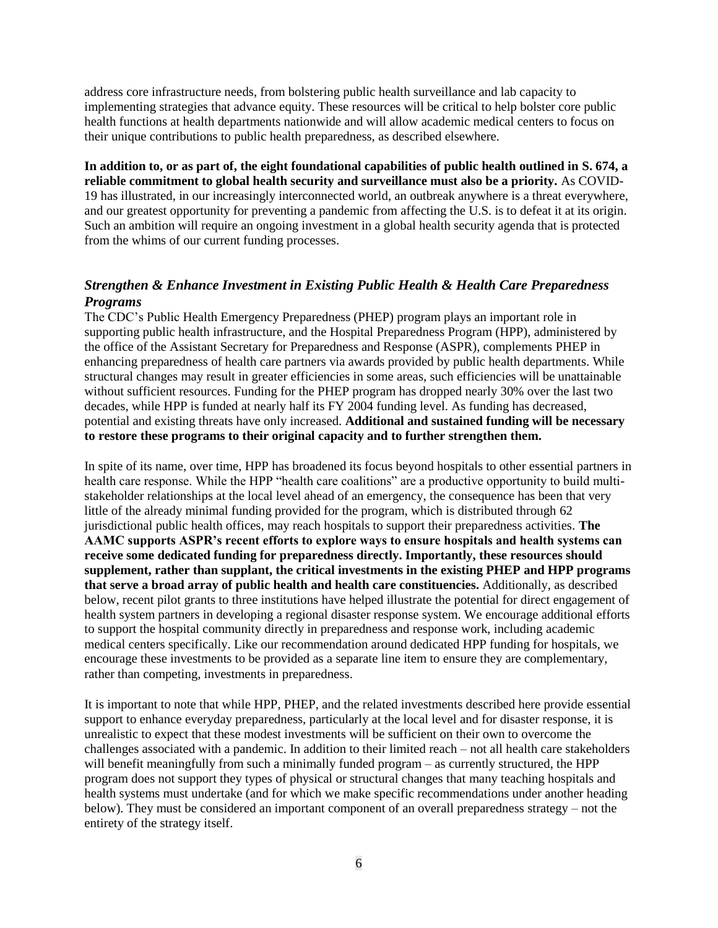address core infrastructure needs, from bolstering public health surveillance and lab capacity to implementing strategies that advance equity. These resources will be critical to help bolster core public health functions at health departments nationwide and will allow academic medical centers to focus on their unique contributions to public health preparedness, as described elsewhere.

**In addition to, or as part of, the eight foundational capabilities of public health outlined in S. 674, a reliable commitment to global health security and surveillance must also be a priority.** As COVID-19 has illustrated, in our increasingly interconnected world, an outbreak anywhere is a threat everywhere, and our greatest opportunity for preventing a pandemic from affecting the U.S. is to defeat it at its origin. Such an ambition will require an ongoing investment in a global health security agenda that is protected from the whims of our current funding processes.

## *Strengthen & Enhance Investment in Existing Public Health & Health Care Preparedness Programs*

The CDC's Public Health Emergency Preparedness (PHEP) program plays an important role in supporting public health infrastructure, and the Hospital Preparedness Program (HPP), administered by the office of the Assistant Secretary for Preparedness and Response (ASPR), complements PHEP in enhancing preparedness of health care partners via awards provided by public health departments. While structural changes may result in greater efficiencies in some areas, such efficiencies will be unattainable without sufficient resources. Funding for the PHEP program has dropped nearly 30% over the last two decades, while HPP is funded at nearly half its FY 2004 funding level. As funding has decreased, potential and existing threats have only increased. **Additional and sustained funding will be necessary to restore these programs to their original capacity and to further strengthen them.**

In spite of its name, over time, HPP has broadened its focus beyond hospitals to other essential partners in health care response. While the HPP "health care coalitions" are a productive opportunity to build multistakeholder relationships at the local level ahead of an emergency, the consequence has been that very little of the already minimal funding provided for the program, which is distributed through 62 jurisdictional public health offices, may reach hospitals to support their preparedness activities. **The AAMC supports ASPR's recent efforts to explore ways to ensure hospitals and health systems can receive some dedicated funding for preparedness directly. Importantly, these resources should supplement, rather than supplant, the critical investments in the existing PHEP and HPP programs that serve a broad array of public health and health care constituencies.** Additionally, as described below, recent pilot grants to three institutions have helped illustrate the potential for direct engagement of health system partners in developing a regional disaster response system. We encourage additional efforts to support the hospital community directly in preparedness and response work, including academic medical centers specifically. Like our recommendation around dedicated HPP funding for hospitals, we encourage these investments to be provided as a separate line item to ensure they are complementary, rather than competing, investments in preparedness.

It is important to note that while HPP, PHEP, and the related investments described here provide essential support to enhance everyday preparedness, particularly at the local level and for disaster response, it is unrealistic to expect that these modest investments will be sufficient on their own to overcome the challenges associated with a pandemic. In addition to their limited reach – not all health care stakeholders will benefit meaningfully from such a minimally funded program – as currently structured, the HPP program does not support they types of physical or structural changes that many teaching hospitals and health systems must undertake (and for which we make specific recommendations under another heading below). They must be considered an important component of an overall preparedness strategy – not the entirety of the strategy itself.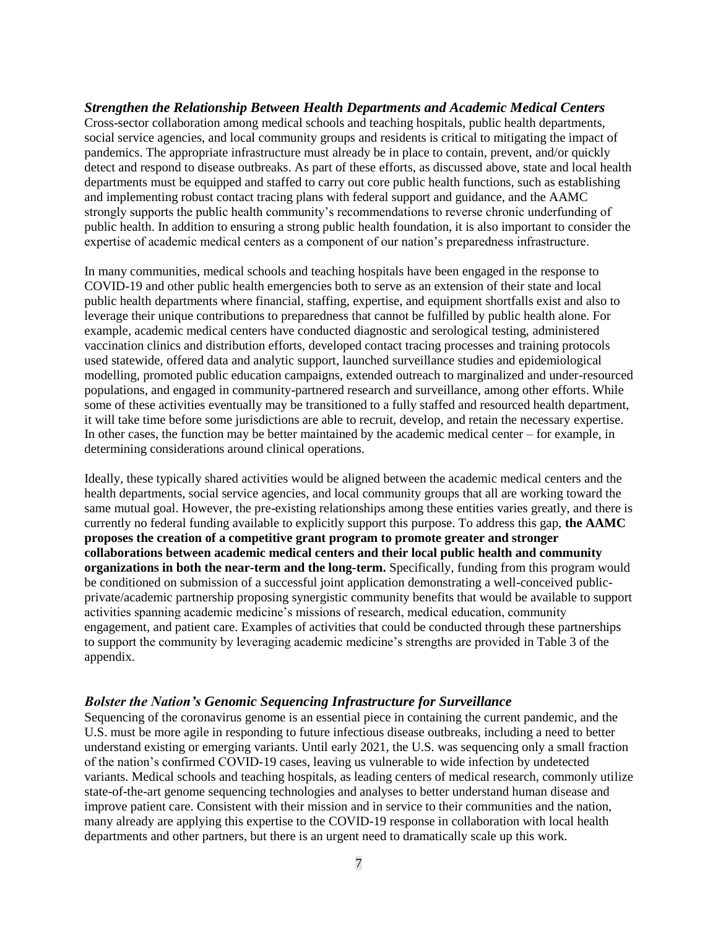## *Strengthen the Relationship Between Health Departments and Academic Medical Centers*

Cross-sector collaboration among medical schools and teaching hospitals, public health departments, social service agencies, and local community groups and residents is critical to mitigating the impact of pandemics. The appropriate infrastructure must already be in place to contain, prevent, and/or quickly detect and respond to disease outbreaks. As part of these efforts, as discussed above, state and local health departments must be equipped and staffed to carry out core public health functions, such as establishing and implementing robust contact tracing plans with federal support and guidance, and the AAMC strongly supports the public health community's recommendations to reverse chronic underfunding of public health. In addition to ensuring a strong public health foundation, it is also important to consider the expertise of academic medical centers as a component of our nation's preparedness infrastructure.

In many communities, medical schools and teaching hospitals have been engaged in the response to COVID-19 and other public health emergencies both to serve as an extension of their state and local public health departments where financial, staffing, expertise, and equipment shortfalls exist and also to leverage their unique contributions to preparedness that cannot be fulfilled by public health alone. For example, academic medical centers have conducted diagnostic and serological testing, administered vaccination clinics and distribution efforts, developed contact tracing processes and training protocols used statewide, offered data and analytic support, launched surveillance studies and epidemiological modelling, promoted public education campaigns, extended outreach to marginalized and under-resourced populations, and engaged in community-partnered research and surveillance, among other efforts. While some of these activities eventually may be transitioned to a fully staffed and resourced health department, it will take time before some jurisdictions are able to recruit, develop, and retain the necessary expertise. In other cases, the function may be better maintained by the academic medical center – for example, in determining considerations around clinical operations.

Ideally, these typically shared activities would be aligned between the academic medical centers and the health departments, social service agencies, and local community groups that all are working toward the same mutual goal. However, the pre-existing relationships among these entities varies greatly, and there is currently no federal funding available to explicitly support this purpose. To address this gap, **the AAMC proposes the creation of a competitive grant program to promote greater and stronger collaborations between academic medical centers and their local public health and community organizations in both the near-term and the long-term.** Specifically, funding from this program would be conditioned on submission of a successful joint application demonstrating a well-conceived publicprivate/academic partnership proposing synergistic community benefits that would be available to support activities spanning academic medicine's missions of research, medical education, community engagement, and patient care. Examples of activities that could be conducted through these partnerships to support the community by leveraging academic medicine's strengths are provided in Table 3 of the appendix.

### *Bolster the Nation's Genomic Sequencing Infrastructure for Surveillance*

Sequencing of the coronavirus genome is an essential piece in containing the current pandemic, and the U.S. must be more agile in responding to future infectious disease outbreaks, including a need to better understand existing or emerging variants. Until early 2021, the U.S. was sequencing only a small fraction of the nation's confirmed COVID-19 cases, leaving us vulnerable to wide infection by undetected variants. Medical schools and teaching hospitals, as leading centers of medical research, commonly utilize state-of-the-art genome sequencing technologies and analyses to better understand human disease and improve patient care. Consistent with their mission and in service to their communities and the nation, many already are applying this expertise to the COVID-19 response in collaboration with local health departments and other partners, but there is an urgent need to dramatically scale up this work.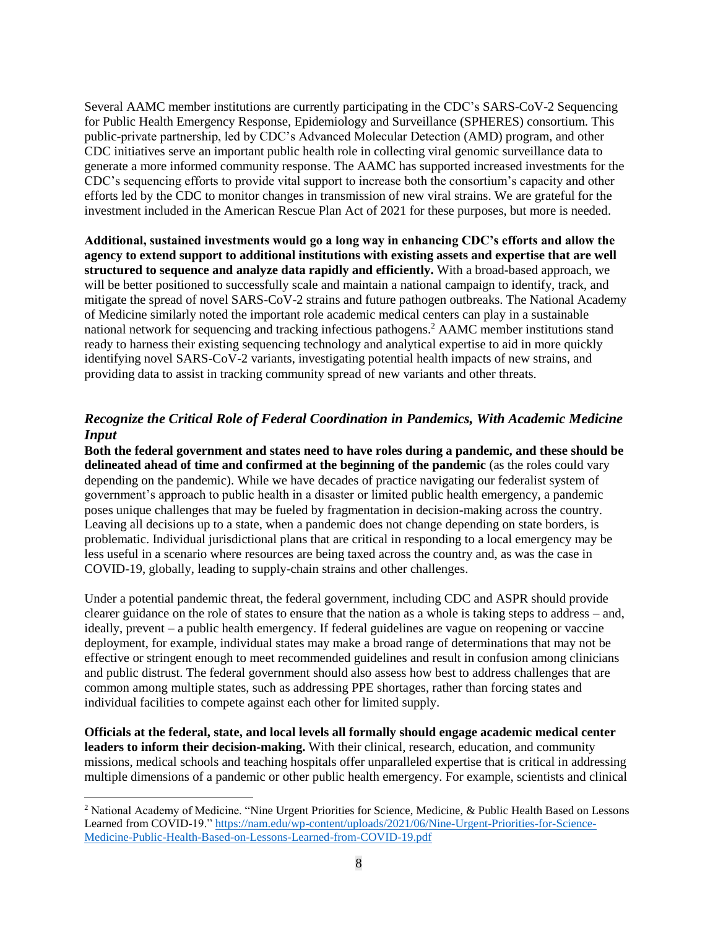Several AAMC member institutions are currently participating in the CDC's SARS-CoV-2 Sequencing for Public Health Emergency Response, Epidemiology and Surveillance (SPHERES) consortium. This public-private partnership, led by CDC's Advanced Molecular Detection (AMD) program, and other CDC initiatives serve an important public health role in collecting viral genomic surveillance data to generate a more informed community response. The AAMC has supported increased investments for the CDC's sequencing efforts to provide vital support to increase both the consortium's capacity and other efforts led by the CDC to monitor changes in transmission of new viral strains. We are grateful for the investment included in the American Rescue Plan Act of 2021 for these purposes, but more is needed.

**Additional, sustained investments would go a long way in enhancing CDC's efforts and allow the agency to extend support to additional institutions with existing assets and expertise that are well structured to sequence and analyze data rapidly and efficiently.** With a broad-based approach, we will be better positioned to successfully scale and maintain a national campaign to identify, track, and mitigate the spread of novel SARS-CoV-2 strains and future pathogen outbreaks. The National Academy of Medicine similarly noted the important role academic medical centers can play in a sustainable national network for sequencing and tracking infectious pathogens.<sup>2</sup> AAMC member institutions stand ready to harness their existing sequencing technology and analytical expertise to aid in more quickly identifying novel SARS-CoV-2 variants, investigating potential health impacts of new strains, and providing data to assist in tracking community spread of new variants and other threats.

# *Recognize the Critical Role of Federal Coordination in Pandemics, With Academic Medicine Input*

**Both the federal government and states need to have roles during a pandemic, and these should be delineated ahead of time and confirmed at the beginning of the pandemic** (as the roles could vary depending on the pandemic). While we have decades of practice navigating our federalist system of government's approach to public health in a disaster or limited public health emergency, a pandemic poses unique challenges that may be fueled by fragmentation in decision-making across the country. Leaving all decisions up to a state, when a pandemic does not change depending on state borders, is problematic. Individual jurisdictional plans that are critical in responding to a local emergency may be less useful in a scenario where resources are being taxed across the country and, as was the case in COVID-19, globally, leading to supply-chain strains and other challenges.

Under a potential pandemic threat, the federal government, including CDC and ASPR should provide clearer guidance on the role of states to ensure that the nation as a whole is taking steps to address – and, ideally, prevent – a public health emergency. If federal guidelines are vague on reopening or vaccine deployment, for example, individual states may make a broad range of determinations that may not be effective or stringent enough to meet recommended guidelines and result in confusion among clinicians and public distrust. The federal government should also assess how best to address challenges that are common among multiple states, such as addressing PPE shortages, rather than forcing states and individual facilities to compete against each other for limited supply.

**Officials at the federal, state, and local levels all formally should engage academic medical center leaders to inform their decision-making.** With their clinical, research, education, and community missions, medical schools and teaching hospitals offer unparalleled expertise that is critical in addressing multiple dimensions of a pandemic or other public health emergency. For example, scientists and clinical

 $\overline{\phantom{a}}$ 

<sup>2</sup> National Academy of Medicine. "Nine Urgent Priorities for Science, Medicine, & Public Health Based on Lessons Learned from COVID-19.[" https://nam.edu/wp-content/uploads/2021/06/Nine-Urgent-Priorities-for-Science-](https://nam.edu/wp-content/uploads/2021/06/Nine-Urgent-Priorities-for-Science-Medicine-Public-Health-Based-on-Lessons-Learned-from-COVID-19.pdf)[Medicine-Public-Health-Based-on-Lessons-Learned-from-COVID-19.pdf](https://nam.edu/wp-content/uploads/2021/06/Nine-Urgent-Priorities-for-Science-Medicine-Public-Health-Based-on-Lessons-Learned-from-COVID-19.pdf)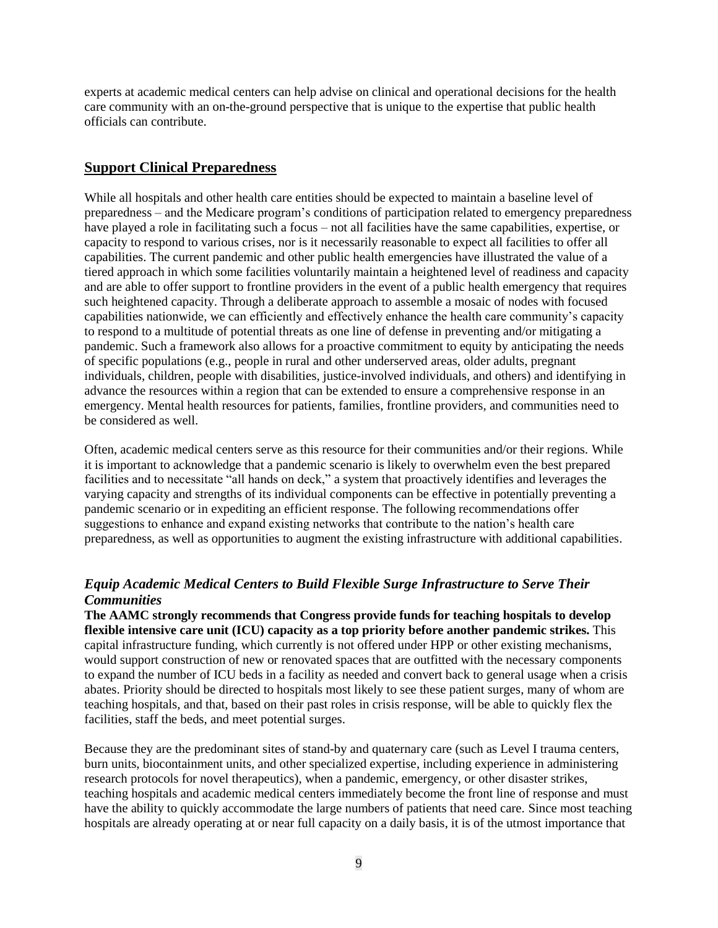experts at academic medical centers can help advise on clinical and operational decisions for the health care community with an on-the-ground perspective that is unique to the expertise that public health officials can contribute.

#### **Support Clinical Preparedness**

While all hospitals and other health care entities should be expected to maintain a baseline level of preparedness – and the Medicare program's conditions of participation related to emergency preparedness have played a role in facilitating such a focus – not all facilities have the same capabilities, expertise, or capacity to respond to various crises, nor is it necessarily reasonable to expect all facilities to offer all capabilities. The current pandemic and other public health emergencies have illustrated the value of a tiered approach in which some facilities voluntarily maintain a heightened level of readiness and capacity and are able to offer support to frontline providers in the event of a public health emergency that requires such heightened capacity. Through a deliberate approach to assemble a mosaic of nodes with focused capabilities nationwide, we can efficiently and effectively enhance the health care community's capacity to respond to a multitude of potential threats as one line of defense in preventing and/or mitigating a pandemic. Such a framework also allows for a proactive commitment to equity by anticipating the needs of specific populations (e.g., people in rural and other underserved areas, older adults, pregnant individuals, children, people with disabilities, justice-involved individuals, and others) and identifying in advance the resources within a region that can be extended to ensure a comprehensive response in an emergency. Mental health resources for patients, families, frontline providers, and communities need to be considered as well.

Often, academic medical centers serve as this resource for their communities and/or their regions. While it is important to acknowledge that a pandemic scenario is likely to overwhelm even the best prepared facilities and to necessitate "all hands on deck," a system that proactively identifies and leverages the varying capacity and strengths of its individual components can be effective in potentially preventing a pandemic scenario or in expediting an efficient response. The following recommendations offer suggestions to enhance and expand existing networks that contribute to the nation's health care preparedness, as well as opportunities to augment the existing infrastructure with additional capabilities.

## *Equip Academic Medical Centers to Build Flexible Surge Infrastructure to Serve Their Communities*

**The AAMC strongly recommends that Congress provide funds for teaching hospitals to develop flexible intensive care unit (ICU) capacity as a top priority before another pandemic strikes.** This capital infrastructure funding, which currently is not offered under HPP or other existing mechanisms, would support construction of new or renovated spaces that are outfitted with the necessary components to expand the number of ICU beds in a facility as needed and convert back to general usage when a crisis abates. Priority should be directed to hospitals most likely to see these patient surges, many of whom are teaching hospitals, and that, based on their past roles in crisis response, will be able to quickly flex the facilities, staff the beds, and meet potential surges.

Because they are the predominant sites of stand-by and quaternary care (such as Level I trauma centers, burn units, biocontainment units, and other specialized expertise, including experience in administering research protocols for novel therapeutics), when a pandemic, emergency, or other disaster strikes, teaching hospitals and academic medical centers immediately become the front line of response and must have the ability to quickly accommodate the large numbers of patients that need care. Since most teaching hospitals are already operating at or near full capacity on a daily basis, it is of the utmost importance that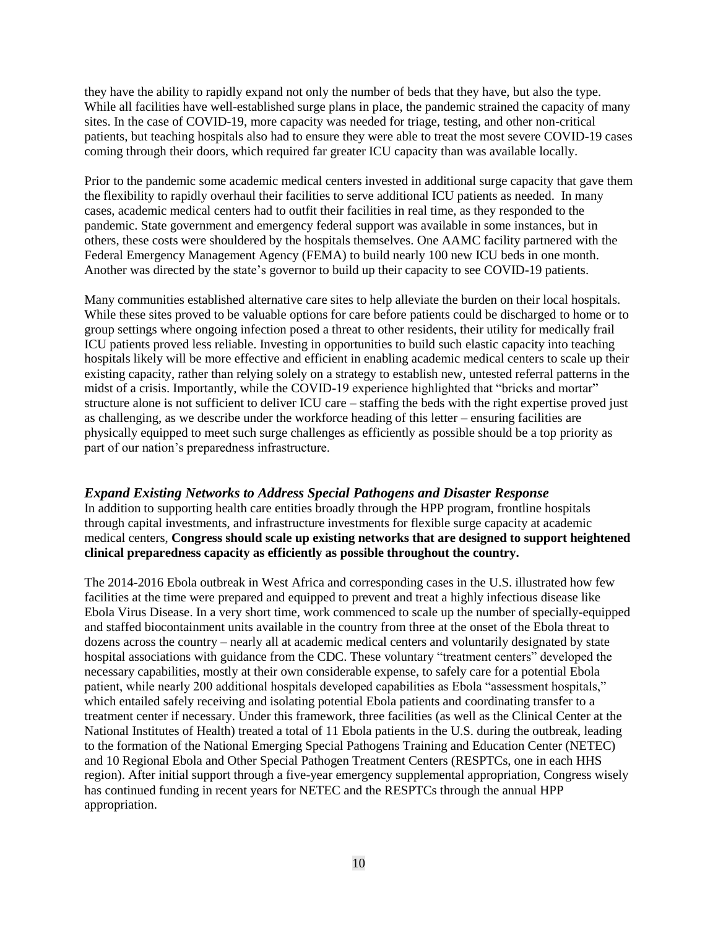they have the ability to rapidly expand not only the number of beds that they have, but also the type. While all facilities have well-established surge plans in place, the pandemic strained the capacity of many sites. In the case of COVID-19, more capacity was needed for triage, testing, and other non-critical patients, but teaching hospitals also had to ensure they were able to treat the most severe COVID-19 cases coming through their doors, which required far greater ICU capacity than was available locally.

Prior to the pandemic some academic medical centers invested in additional surge capacity that gave them the flexibility to rapidly overhaul their facilities to serve additional ICU patients as needed. In many cases, academic medical centers had to outfit their facilities in real time, as they responded to the pandemic. State government and emergency federal support was available in some instances, but in others, these costs were shouldered by the hospitals themselves. One AAMC facility partnered with the Federal Emergency Management Agency (FEMA) to build nearly 100 new ICU beds in one month. Another was directed by the state's governor to build up their capacity to see COVID-19 patients.

Many communities established alternative care sites to help alleviate the burden on their local hospitals. While these sites proved to be valuable options for care before patients could be discharged to home or to group settings where ongoing infection posed a threat to other residents, their utility for medically frail ICU patients proved less reliable. Investing in opportunities to build such elastic capacity into teaching hospitals likely will be more effective and efficient in enabling academic medical centers to scale up their existing capacity, rather than relying solely on a strategy to establish new, untested referral patterns in the midst of a crisis. Importantly, while the COVID-19 experience highlighted that "bricks and mortar" structure alone is not sufficient to deliver ICU care – staffing the beds with the right expertise proved just as challenging, as we describe under the workforce heading of this letter – ensuring facilities are physically equipped to meet such surge challenges as efficiently as possible should be a top priority as part of our nation's preparedness infrastructure.

## *Expand Existing Networks to Address Special Pathogens and Disaster Response*

In addition to supporting health care entities broadly through the HPP program, frontline hospitals through capital investments, and infrastructure investments for flexible surge capacity at academic medical centers, **Congress should scale up existing networks that are designed to support heightened clinical preparedness capacity as efficiently as possible throughout the country.**

The 2014-2016 Ebola outbreak in West Africa and corresponding cases in the U.S. illustrated how few facilities at the time were prepared and equipped to prevent and treat a highly infectious disease like Ebola Virus Disease. In a very short time, work commenced to scale up the number of specially-equipped and staffed biocontainment units available in the country from three at the onset of the Ebola threat to dozens across the country – nearly all at academic medical centers and voluntarily designated by state hospital associations with guidance from the CDC. These voluntary "treatment centers" developed the necessary capabilities, mostly at their own considerable expense, to safely care for a potential Ebola patient, while nearly 200 additional hospitals developed capabilities as Ebola "assessment hospitals," which entailed safely receiving and isolating potential Ebola patients and coordinating transfer to a treatment center if necessary. Under this framework, three facilities (as well as the Clinical Center at the National Institutes of Health) treated a total of 11 Ebola patients in the U.S. during the outbreak, leading to the formation of the National Emerging Special Pathogens Training and Education Center (NETEC) and 10 Regional Ebola and Other Special Pathogen Treatment Centers (RESPTCs, one in each HHS region). After initial support through a five-year emergency supplemental appropriation, Congress wisely has continued funding in recent years for NETEC and the RESPTCs through the annual HPP appropriation.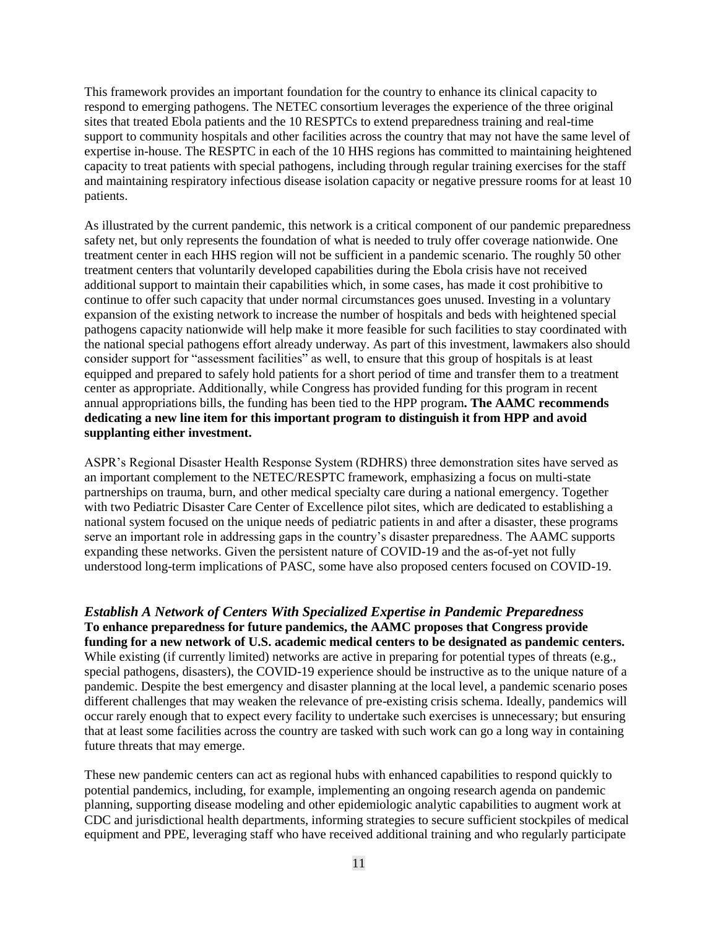This framework provides an important foundation for the country to enhance its clinical capacity to respond to emerging pathogens. The NETEC consortium leverages the experience of the three original sites that treated Ebola patients and the 10 RESPTCs to extend preparedness training and real-time support to community hospitals and other facilities across the country that may not have the same level of expertise in-house. The RESPTC in each of the 10 HHS regions has committed to maintaining heightened capacity to treat patients with special pathogens, including through regular training exercises for the staff and maintaining respiratory infectious disease isolation capacity or negative pressure rooms for at least 10 patients.

As illustrated by the current pandemic, this network is a critical component of our pandemic preparedness safety net, but only represents the foundation of what is needed to truly offer coverage nationwide. One treatment center in each HHS region will not be sufficient in a pandemic scenario. The roughly 50 other treatment centers that voluntarily developed capabilities during the Ebola crisis have not received additional support to maintain their capabilities which, in some cases, has made it cost prohibitive to continue to offer such capacity that under normal circumstances goes unused. Investing in a voluntary expansion of the existing network to increase the number of hospitals and beds with heightened special pathogens capacity nationwide will help make it more feasible for such facilities to stay coordinated with the national special pathogens effort already underway. As part of this investment, lawmakers also should consider support for "assessment facilities" as well, to ensure that this group of hospitals is at least equipped and prepared to safely hold patients for a short period of time and transfer them to a treatment center as appropriate. Additionally, while Congress has provided funding for this program in recent annual appropriations bills, the funding has been tied to the HPP program**. The AAMC recommends dedicating a new line item for this important program to distinguish it from HPP and avoid supplanting either investment.**

ASPR's Regional Disaster Health Response System (RDHRS) three demonstration sites have served as an important complement to the NETEC/RESPTC framework, emphasizing a focus on multi-state partnerships on trauma, burn, and other medical specialty care during a national emergency. Together with two Pediatric Disaster Care Center of Excellence pilot sites, which are dedicated to establishing a national system focused on the unique needs of pediatric patients in and after a disaster, these programs serve an important role in addressing gaps in the country's disaster preparedness. The AAMC supports expanding these networks. Given the persistent nature of COVID-19 and the as-of-yet not fully understood long-term implications of PASC, some have also proposed centers focused on COVID-19.

*Establish A Network of Centers With Specialized Expertise in Pandemic Preparedness* **To enhance preparedness for future pandemics, the AAMC proposes that Congress provide funding for a new network of U.S. academic medical centers to be designated as pandemic centers.** While existing (if currently limited) networks are active in preparing for potential types of threats (e.g., special pathogens, disasters), the COVID-19 experience should be instructive as to the unique nature of a pandemic. Despite the best emergency and disaster planning at the local level, a pandemic scenario poses different challenges that may weaken the relevance of pre-existing crisis schema. Ideally, pandemics will occur rarely enough that to expect every facility to undertake such exercises is unnecessary; but ensuring that at least some facilities across the country are tasked with such work can go a long way in containing future threats that may emerge.

These new pandemic centers can act as regional hubs with enhanced capabilities to respond quickly to potential pandemics, including, for example, implementing an ongoing research agenda on pandemic planning, supporting disease modeling and other epidemiologic analytic capabilities to augment work at CDC and jurisdictional health departments, informing strategies to secure sufficient stockpiles of medical equipment and PPE, leveraging staff who have received additional training and who regularly participate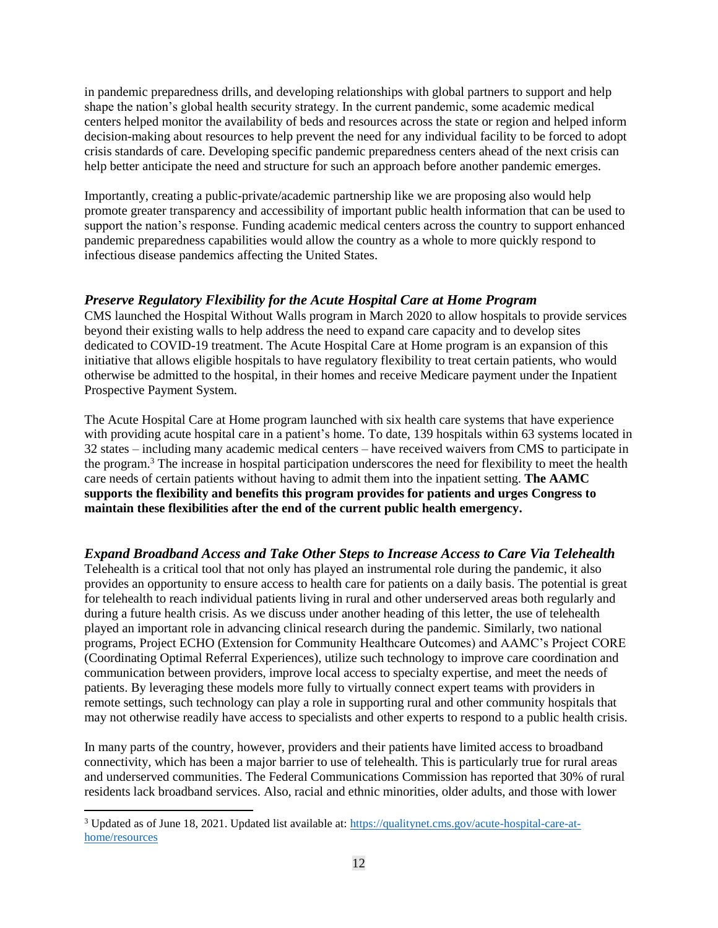in pandemic preparedness drills, and developing relationships with global partners to support and help shape the nation's global health security strategy. In the current pandemic, some academic medical centers helped monitor the availability of beds and resources across the state or region and helped inform decision-making about resources to help prevent the need for any individual facility to be forced to adopt crisis standards of care. Developing specific pandemic preparedness centers ahead of the next crisis can help better anticipate the need and structure for such an approach before another pandemic emerges.

Importantly, creating a public-private/academic partnership like we are proposing also would help promote greater transparency and accessibility of important public health information that can be used to support the nation's response. Funding academic medical centers across the country to support enhanced pandemic preparedness capabilities would allow the country as a whole to more quickly respond to infectious disease pandemics affecting the United States.

# *Preserve Regulatory Flexibility for the Acute Hospital Care at Home Program*

CMS launched the Hospital Without Walls program in March 2020 to allow hospitals to provide services beyond their existing walls to help address the need to expand care capacity and to develop sites dedicated to COVID-19 treatment. The Acute Hospital Care at Home program is an expansion of this initiative that allows eligible hospitals to have regulatory flexibility to treat certain patients, who would otherwise be admitted to the hospital, in their homes and receive Medicare payment under the Inpatient Prospective Payment System.

The Acute Hospital Care at Home program launched with six health care systems that have experience with providing acute hospital care in a patient's home. To date, 139 hospitals within 63 systems located in 32 states – including many academic medical centers – have received waivers from CMS to participate in the program.<sup>3</sup> The increase in hospital participation underscores the need for flexibility to meet the health care needs of certain patients without having to admit them into the inpatient setting. **The AAMC supports the flexibility and benefits this program provides for patients and urges Congress to maintain these flexibilities after the end of the current public health emergency.**

# *Expand Broadband Access and Take Other Steps to Increase Access to Care Via Telehealth*

Telehealth is a critical tool that not only has played an instrumental role during the pandemic, it also provides an opportunity to ensure access to health care for patients on a daily basis. The potential is great for telehealth to reach individual patients living in rural and other underserved areas both regularly and during a future health crisis. As we discuss under another heading of this letter, the use of telehealth played an important role in advancing clinical research during the pandemic. Similarly, two national programs, Project ECHO (Extension for Community Healthcare Outcomes) and AAMC's Project CORE (Coordinating Optimal Referral Experiences), utilize such technology to improve care coordination and communication between providers, improve local access to specialty expertise, and meet the needs of patients. By leveraging these models more fully to virtually connect expert teams with providers in remote settings, such technology can play a role in supporting rural and other community hospitals that may not otherwise readily have access to specialists and other experts to respond to a public health crisis.

In many parts of the country, however, providers and their patients have limited access to broadband connectivity, which has been a major barrier to use of telehealth. This is particularly true for rural areas and underserved communities. The Federal Communications Commission has reported that 30% of rural residents lack broadband services. Also, racial and ethnic minorities, older adults, and those with lower

 $\overline{a}$ 

<sup>3</sup> Updated as of June 18, 2021. Updated list available at: [https://qualitynet.cms.gov/acute-hospital-care-at](https://qualitynet.cms.gov/acute-hospital-care-at-home/resources)[home/resources](https://qualitynet.cms.gov/acute-hospital-care-at-home/resources)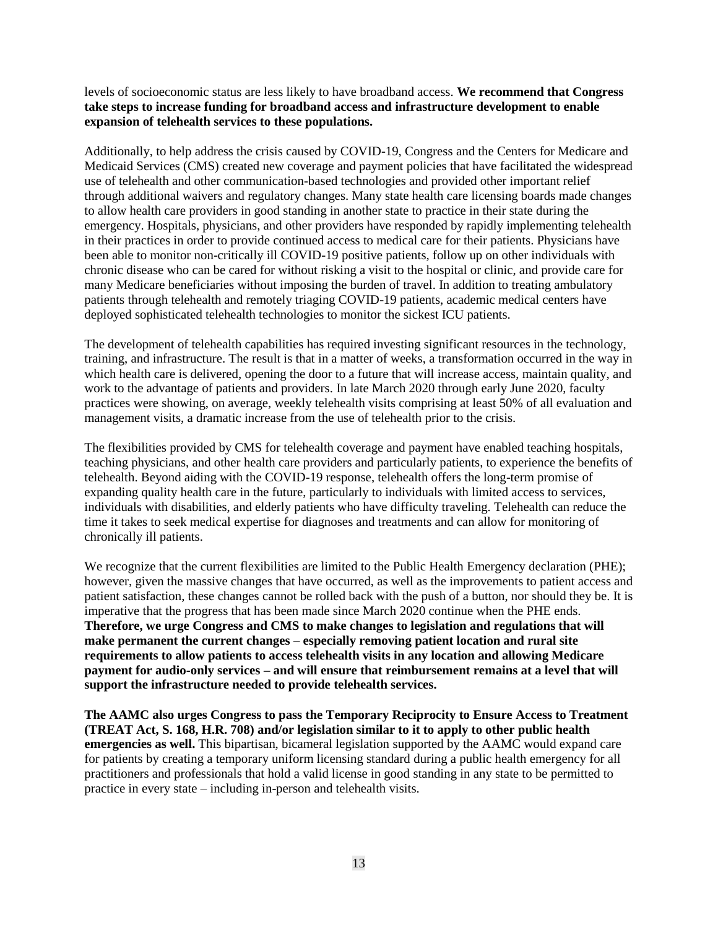levels of socioeconomic status are less likely to have broadband access. **We recommend that Congress take steps to increase funding for broadband access and infrastructure development to enable expansion of telehealth services to these populations.**

Additionally, to help address the crisis caused by COVID-19, Congress and the Centers for Medicare and Medicaid Services (CMS) created new coverage and payment policies that have facilitated the widespread use of telehealth and other communication-based technologies and provided other important relief through additional waivers and regulatory changes. Many state health care licensing boards made changes to allow health care providers in good standing in another state to practice in their state during the emergency. Hospitals, physicians, and other providers have responded by rapidly implementing telehealth in their practices in order to provide continued access to medical care for their patients. Physicians have been able to monitor non-critically ill COVID-19 positive patients, follow up on other individuals with chronic disease who can be cared for without risking a visit to the hospital or clinic, and provide care for many Medicare beneficiaries without imposing the burden of travel. In addition to treating ambulatory patients through telehealth and remotely triaging COVID-19 patients, academic medical centers have deployed sophisticated telehealth technologies to monitor the sickest ICU patients.

The development of telehealth capabilities has required investing significant resources in the technology, training, and infrastructure. The result is that in a matter of weeks, a transformation occurred in the way in which health care is delivered, opening the door to a future that will increase access, maintain quality, and work to the advantage of patients and providers. In late March 2020 through early June 2020, faculty practices were showing, on average, weekly telehealth visits comprising at least 50% of all evaluation and management visits, a dramatic increase from the use of telehealth prior to the crisis.

The flexibilities provided by CMS for telehealth coverage and payment have enabled teaching hospitals, teaching physicians, and other health care providers and particularly patients, to experience the benefits of telehealth. Beyond aiding with the COVID-19 response, telehealth offers the long-term promise of expanding quality health care in the future, particularly to individuals with limited access to services, individuals with disabilities, and elderly patients who have difficulty traveling. Telehealth can reduce the time it takes to seek medical expertise for diagnoses and treatments and can allow for monitoring of chronically ill patients.

We recognize that the current flexibilities are limited to the Public Health Emergency declaration (PHE); however, given the massive changes that have occurred, as well as the improvements to patient access and patient satisfaction, these changes cannot be rolled back with the push of a button, nor should they be. It is imperative that the progress that has been made since March 2020 continue when the PHE ends. **Therefore, we urge Congress and CMS to make changes to legislation and regulations that will make permanent the current changes – especially removing patient location and rural site requirements to allow patients to access telehealth visits in any location and allowing Medicare payment for audio-only services – and will ensure that reimbursement remains at a level that will support the infrastructure needed to provide telehealth services.**

**The AAMC also urges Congress to pass the Temporary Reciprocity to Ensure Access to Treatment (TREAT Act, S. 168, H.R. 708) and/or legislation similar to it to apply to other public health emergencies as well.** This bipartisan, bicameral legislation supported by the AAMC would expand care for patients by creating a temporary uniform licensing standard during a public health emergency for all practitioners and professionals that hold a valid license in good standing in any state to be permitted to practice in every state – including in-person and telehealth visits.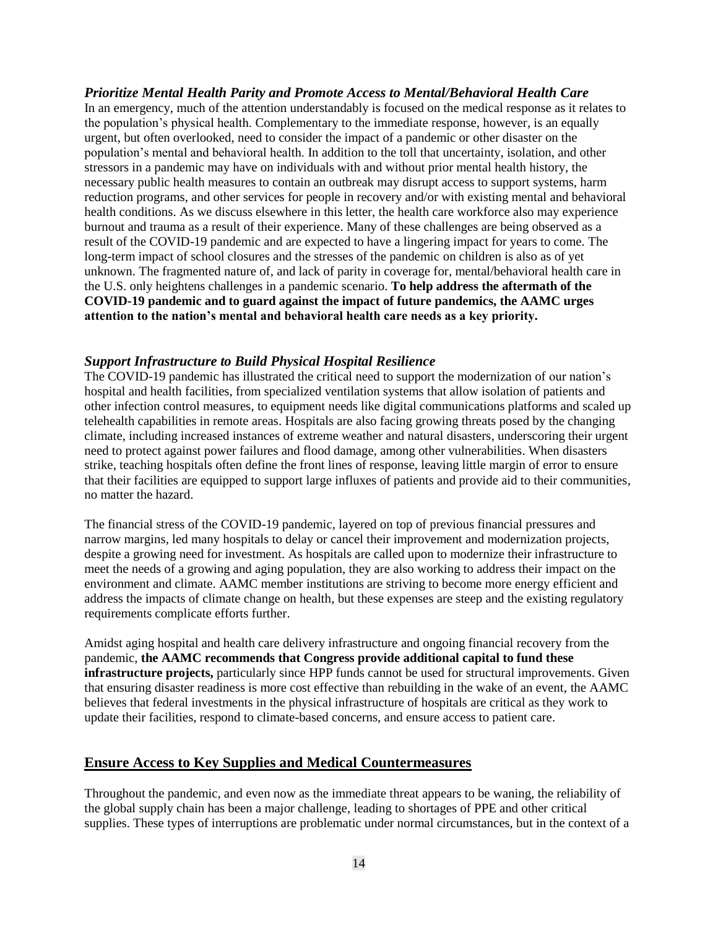## *Prioritize Mental Health Parity and Promote Access to Mental/Behavioral Health Care* In an emergency, much of the attention understandably is focused on the medical response as it relates to the population's physical health. Complementary to the immediate response, however, is an equally urgent, but often overlooked, need to consider the impact of a pandemic or other disaster on the population's mental and behavioral health. In addition to the toll that uncertainty, isolation, and other stressors in a pandemic may have on individuals with and without prior mental health history, the necessary public health measures to contain an outbreak may disrupt access to support systems, harm reduction programs, and other services for people in recovery and/or with existing mental and behavioral health conditions. As we discuss elsewhere in this letter, the health care workforce also may experience burnout and trauma as a result of their experience. Many of these challenges are being observed as a result of the COVID-19 pandemic and are expected to have a lingering impact for years to come. The long-term impact of school closures and the stresses of the pandemic on children is also as of yet unknown. The fragmented nature of, and lack of parity in coverage for, mental/behavioral health care in the U.S. only heightens challenges in a pandemic scenario. **To help address the aftermath of the COVID-19 pandemic and to guard against the impact of future pandemics, the AAMC urges attention to the nation's mental and behavioral health care needs as a key priority.**

## *Support Infrastructure to Build Physical Hospital Resilience*

The COVID-19 pandemic has illustrated the critical need to support the modernization of our nation's hospital and health facilities, from specialized ventilation systems that allow isolation of patients and other infection control measures, to equipment needs like digital communications platforms and scaled up telehealth capabilities in remote areas. Hospitals are also facing growing threats posed by the changing climate, including increased instances of extreme weather and natural disasters, underscoring their urgent need to protect against power failures and flood damage, among other vulnerabilities. When disasters strike, teaching hospitals often define the front lines of response, leaving little margin of error to ensure that their facilities are equipped to support large influxes of patients and provide aid to their communities, no matter the hazard.

The financial stress of the COVID-19 pandemic, layered on top of previous financial pressures and narrow margins, led many hospitals to delay or cancel their improvement and modernization projects, despite a growing need for investment. As hospitals are called upon to modernize their infrastructure to meet the needs of a growing and aging population, they are also working to address their impact on the environment and climate. AAMC member institutions are striving to become more energy efficient and address the impacts of climate change on health, but these expenses are steep and the existing regulatory requirements complicate efforts further.

Amidst aging hospital and health care delivery infrastructure and ongoing financial recovery from the pandemic, **the AAMC recommends that Congress provide additional capital to fund these infrastructure projects,** particularly since HPP funds cannot be used for structural improvements. Given that ensuring disaster readiness is more cost effective than rebuilding in the wake of an event, the AAMC believes that federal investments in the physical infrastructure of hospitals are critical as they work to update their facilities, respond to climate-based concerns, and ensure access to patient care.

### **Ensure Access to Key Supplies and Medical Countermeasures**

Throughout the pandemic, and even now as the immediate threat appears to be waning, the reliability of the global supply chain has been a major challenge, leading to shortages of PPE and other critical supplies. These types of interruptions are problematic under normal circumstances, but in the context of a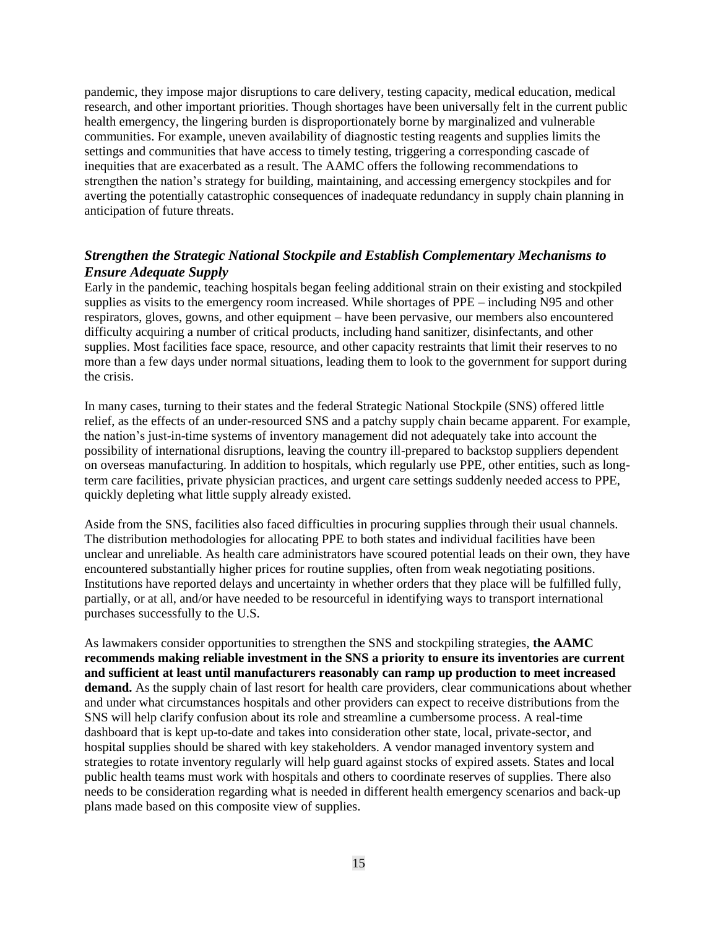pandemic, they impose major disruptions to care delivery, testing capacity, medical education, medical research, and other important priorities. Though shortages have been universally felt in the current public health emergency, the lingering burden is disproportionately borne by marginalized and vulnerable communities. For example, uneven availability of diagnostic testing reagents and supplies limits the settings and communities that have access to timely testing, triggering a corresponding cascade of inequities that are exacerbated as a result. The AAMC offers the following recommendations to strengthen the nation's strategy for building, maintaining, and accessing emergency stockpiles and for averting the potentially catastrophic consequences of inadequate redundancy in supply chain planning in anticipation of future threats.

# *Strengthen the Strategic National Stockpile and Establish Complementary Mechanisms to Ensure Adequate Supply*

Early in the pandemic, teaching hospitals began feeling additional strain on their existing and stockpiled supplies as visits to the emergency room increased. While shortages of PPE – including N95 and other respirators, gloves, gowns, and other equipment – have been pervasive, our members also encountered difficulty acquiring a number of critical products, including hand sanitizer, disinfectants, and other supplies. Most facilities face space, resource, and other capacity restraints that limit their reserves to no more than a few days under normal situations, leading them to look to the government for support during the crisis.

In many cases, turning to their states and the federal Strategic National Stockpile (SNS) offered little relief, as the effects of an under-resourced SNS and a patchy supply chain became apparent. For example, the nation's just-in-time systems of inventory management did not adequately take into account the possibility of international disruptions, leaving the country ill-prepared to backstop suppliers dependent on overseas manufacturing. In addition to hospitals, which regularly use PPE, other entities, such as longterm care facilities, private physician practices, and urgent care settings suddenly needed access to PPE, quickly depleting what little supply already existed.

Aside from the SNS, facilities also faced difficulties in procuring supplies through their usual channels. The distribution methodologies for allocating PPE to both states and individual facilities have been unclear and unreliable. As health care administrators have scoured potential leads on their own, they have encountered substantially higher prices for routine supplies, often from weak negotiating positions. Institutions have reported delays and uncertainty in whether orders that they place will be fulfilled fully, partially, or at all, and/or have needed to be resourceful in identifying ways to transport international purchases successfully to the U.S.

As lawmakers consider opportunities to strengthen the SNS and stockpiling strategies, **the AAMC recommends making reliable investment in the SNS a priority to ensure its inventories are current and sufficient at least until manufacturers reasonably can ramp up production to meet increased demand.** As the supply chain of last resort for health care providers, clear communications about whether and under what circumstances hospitals and other providers can expect to receive distributions from the SNS will help clarify confusion about its role and streamline a cumbersome process. A real-time dashboard that is kept up-to-date and takes into consideration other state, local, private-sector, and hospital supplies should be shared with key stakeholders. A vendor managed inventory system and strategies to rotate inventory regularly will help guard against stocks of expired assets. States and local public health teams must work with hospitals and others to coordinate reserves of supplies. There also needs to be consideration regarding what is needed in different health emergency scenarios and back-up plans made based on this composite view of supplies.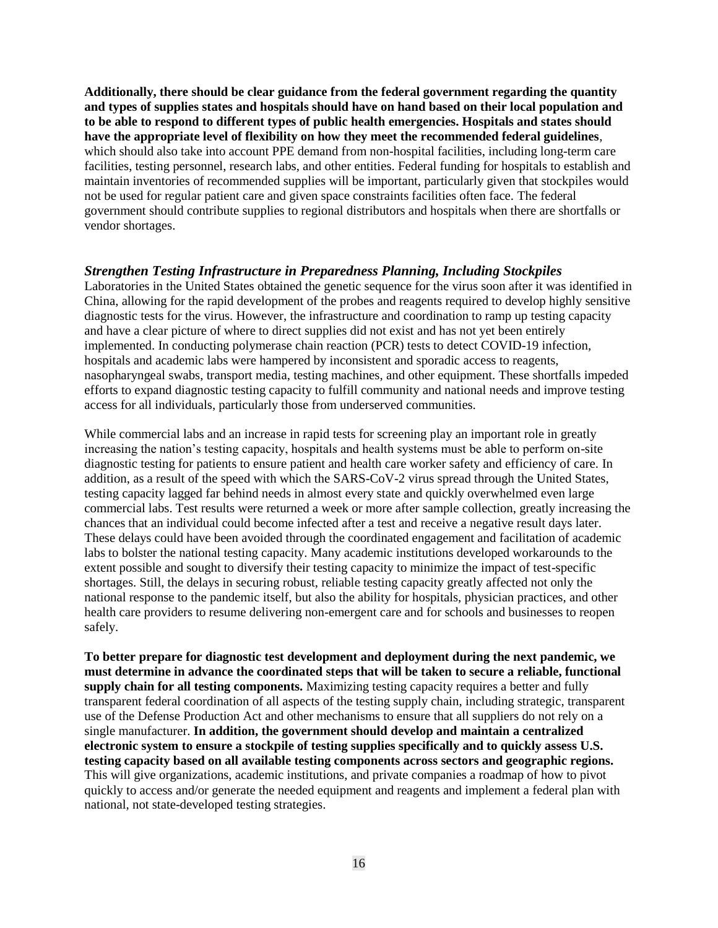**Additionally, there should be clear guidance from the federal government regarding the quantity and types of supplies states and hospitals should have on hand based on their local population and to be able to respond to different types of public health emergencies. Hospitals and states should have the appropriate level of flexibility on how they meet the recommended federal guidelines**, which should also take into account PPE demand from non-hospital facilities, including long-term care facilities, testing personnel, research labs, and other entities. Federal funding for hospitals to establish and maintain inventories of recommended supplies will be important, particularly given that stockpiles would not be used for regular patient care and given space constraints facilities often face. The federal government should contribute supplies to regional distributors and hospitals when there are shortfalls or vendor shortages.

#### *Strengthen Testing Infrastructure in Preparedness Planning, Including Stockpiles*

Laboratories in the United States obtained the genetic sequence for the virus soon after it was identified in China, allowing for the rapid development of the probes and reagents required to develop highly sensitive diagnostic tests for the virus. However, the infrastructure and coordination to ramp up testing capacity and have a clear picture of where to direct supplies did not exist and has not yet been entirely implemented. In conducting polymerase chain reaction (PCR) tests to detect COVID-19 infection, hospitals and academic labs were hampered by inconsistent and sporadic access to reagents, nasopharyngeal swabs, transport media, testing machines, and other equipment. These shortfalls impeded efforts to expand diagnostic testing capacity to fulfill community and national needs and improve testing access for all individuals, particularly those from underserved communities.

While commercial labs and an increase in rapid tests for screening play an important role in greatly increasing the nation's testing capacity, hospitals and health systems must be able to perform on-site diagnostic testing for patients to ensure patient and health care worker safety and efficiency of care. In addition, as a result of the speed with which the SARS-CoV-2 virus spread through the United States, testing capacity lagged far behind needs in almost every state and quickly overwhelmed even large commercial labs. Test results were returned a week or more after sample collection, greatly increasing the chances that an individual could become infected after a test and receive a negative result days later. These delays could have been avoided through the coordinated engagement and facilitation of academic labs to bolster the national testing capacity. Many academic institutions developed workarounds to the extent possible and sought to diversify their testing capacity to minimize the impact of test-specific shortages. Still, the delays in securing robust, reliable testing capacity greatly affected not only the national response to the pandemic itself, but also the ability for hospitals, physician practices, and other health care providers to resume delivering non-emergent care and for schools and businesses to reopen safely.

**To better prepare for diagnostic test development and deployment during the next pandemic, we must determine in advance the coordinated steps that will be taken to secure a reliable, functional supply chain for all testing components.** Maximizing testing capacity requires a better and fully transparent federal coordination of all aspects of the testing supply chain, including strategic, transparent use of the Defense Production Act and other mechanisms to ensure that all suppliers do not rely on a single manufacturer. **In addition, the government should develop and maintain a centralized electronic system to ensure a stockpile of testing supplies specifically and to quickly assess U.S. testing capacity based on all available testing components across sectors and geographic regions.** This will give organizations, academic institutions, and private companies a roadmap of how to pivot quickly to access and/or generate the needed equipment and reagents and implement a federal plan with national, not state-developed testing strategies.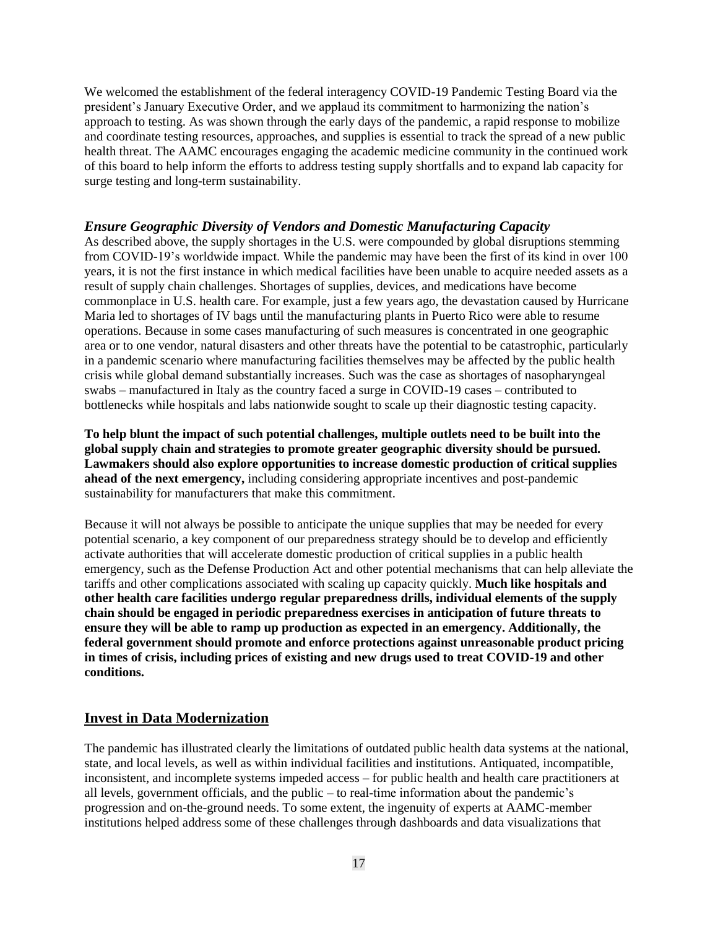We welcomed the establishment of the federal interagency COVID-19 Pandemic Testing Board via the president's January Executive Order, and we applaud its commitment to harmonizing the nation's approach to testing. As was shown through the early days of the pandemic, a rapid response to mobilize and coordinate testing resources, approaches, and supplies is essential to track the spread of a new public health threat. The AAMC encourages engaging the academic medicine community in the continued work of this board to help inform the efforts to address testing supply shortfalls and to expand lab capacity for surge testing and long-term sustainability.

## *Ensure Geographic Diversity of Vendors and Domestic Manufacturing Capacity*

As described above, the supply shortages in the U.S. were compounded by global disruptions stemming from COVID-19's worldwide impact. While the pandemic may have been the first of its kind in over 100 years, it is not the first instance in which medical facilities have been unable to acquire needed assets as a result of supply chain challenges. Shortages of supplies, devices, and medications have become commonplace in U.S. health care. For example, just a few years ago, the devastation caused by Hurricane Maria led to shortages of IV bags until the manufacturing plants in Puerto Rico were able to resume operations. Because in some cases manufacturing of such measures is concentrated in one geographic area or to one vendor, natural disasters and other threats have the potential to be catastrophic, particularly in a pandemic scenario where manufacturing facilities themselves may be affected by the public health crisis while global demand substantially increases. Such was the case as shortages of nasopharyngeal swabs – manufactured in Italy as the country faced a surge in COVID-19 cases – contributed to bottlenecks while hospitals and labs nationwide sought to scale up their diagnostic testing capacity.

**To help blunt the impact of such potential challenges, multiple outlets need to be built into the global supply chain and strategies to promote greater geographic diversity should be pursued. Lawmakers should also explore opportunities to increase domestic production of critical supplies ahead of the next emergency,** including considering appropriate incentives and post-pandemic sustainability for manufacturers that make this commitment.

Because it will not always be possible to anticipate the unique supplies that may be needed for every potential scenario, a key component of our preparedness strategy should be to develop and efficiently activate authorities that will accelerate domestic production of critical supplies in a public health emergency, such as the Defense Production Act and other potential mechanisms that can help alleviate the tariffs and other complications associated with scaling up capacity quickly. **Much like hospitals and other health care facilities undergo regular preparedness drills, individual elements of the supply chain should be engaged in periodic preparedness exercises in anticipation of future threats to ensure they will be able to ramp up production as expected in an emergency. Additionally, the federal government should promote and enforce protections against unreasonable product pricing in times of crisis, including prices of existing and new drugs used to treat COVID-19 and other conditions.**

## **Invest in Data Modernization**

The pandemic has illustrated clearly the limitations of outdated public health data systems at the national, state, and local levels, as well as within individual facilities and institutions. Antiquated, incompatible, inconsistent, and incomplete systems impeded access – for public health and health care practitioners at all levels, government officials, and the public – to real-time information about the pandemic's progression and on-the-ground needs. To some extent, the ingenuity of experts at AAMC-member institutions helped address some of these challenges through dashboards and data visualizations that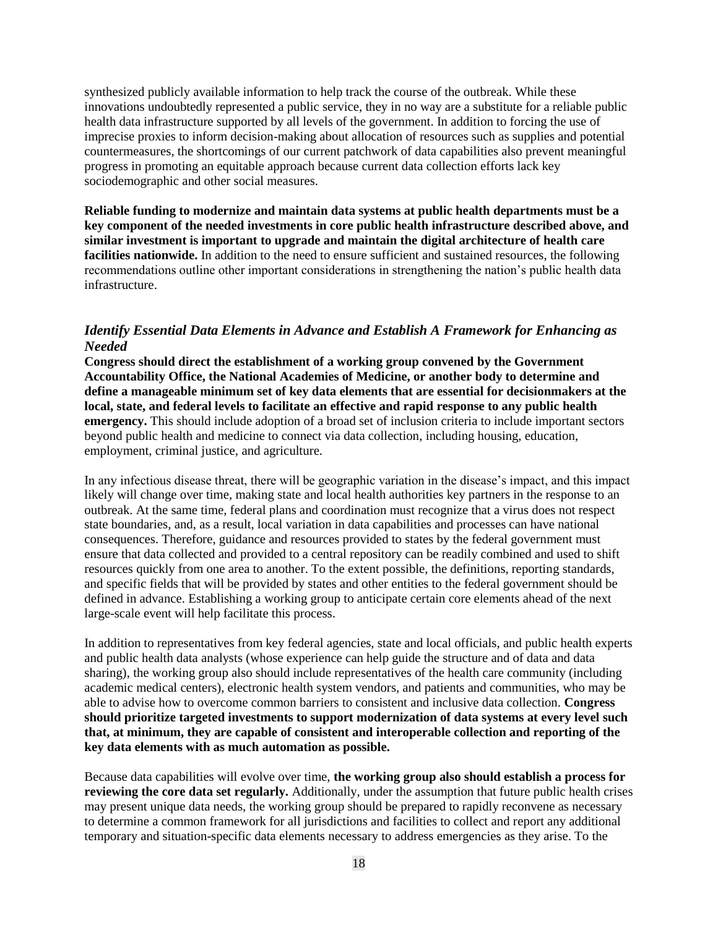synthesized publicly available information to help track the course of the outbreak. While these innovations undoubtedly represented a public service, they in no way are a substitute for a reliable public health data infrastructure supported by all levels of the government. In addition to forcing the use of imprecise proxies to inform decision-making about allocation of resources such as supplies and potential countermeasures, the shortcomings of our current patchwork of data capabilities also prevent meaningful progress in promoting an equitable approach because current data collection efforts lack key sociodemographic and other social measures.

**Reliable funding to modernize and maintain data systems at public health departments must be a key component of the needed investments in core public health infrastructure described above, and similar investment is important to upgrade and maintain the digital architecture of health care facilities nationwide.** In addition to the need to ensure sufficient and sustained resources, the following recommendations outline other important considerations in strengthening the nation's public health data infrastructure.

## *Identify Essential Data Elements in Advance and Establish A Framework for Enhancing as Needed*

**Congress should direct the establishment of a working group convened by the Government Accountability Office, the National Academies of Medicine, or another body to determine and define a manageable minimum set of key data elements that are essential for decisionmakers at the local, state, and federal levels to facilitate an effective and rapid response to any public health emergency.** This should include adoption of a broad set of inclusion criteria to include important sectors beyond public health and medicine to connect via data collection, including housing, education, employment, criminal justice, and agriculture.

In any infectious disease threat, there will be geographic variation in the disease's impact, and this impact likely will change over time, making state and local health authorities key partners in the response to an outbreak. At the same time, federal plans and coordination must recognize that a virus does not respect state boundaries, and, as a result, local variation in data capabilities and processes can have national consequences. Therefore, guidance and resources provided to states by the federal government must ensure that data collected and provided to a central repository can be readily combined and used to shift resources quickly from one area to another. To the extent possible, the definitions, reporting standards, and specific fields that will be provided by states and other entities to the federal government should be defined in advance. Establishing a working group to anticipate certain core elements ahead of the next large-scale event will help facilitate this process.

In addition to representatives from key federal agencies, state and local officials, and public health experts and public health data analysts (whose experience can help guide the structure and of data and data sharing), the working group also should include representatives of the health care community (including academic medical centers), electronic health system vendors, and patients and communities, who may be able to advise how to overcome common barriers to consistent and inclusive data collection. **Congress should prioritize targeted investments to support modernization of data systems at every level such that, at minimum, they are capable of consistent and interoperable collection and reporting of the key data elements with as much automation as possible.**

Because data capabilities will evolve over time, **the working group also should establish a process for reviewing the core data set regularly.** Additionally, under the assumption that future public health crises may present unique data needs, the working group should be prepared to rapidly reconvene as necessary to determine a common framework for all jurisdictions and facilities to collect and report any additional temporary and situation-specific data elements necessary to address emergencies as they arise. To the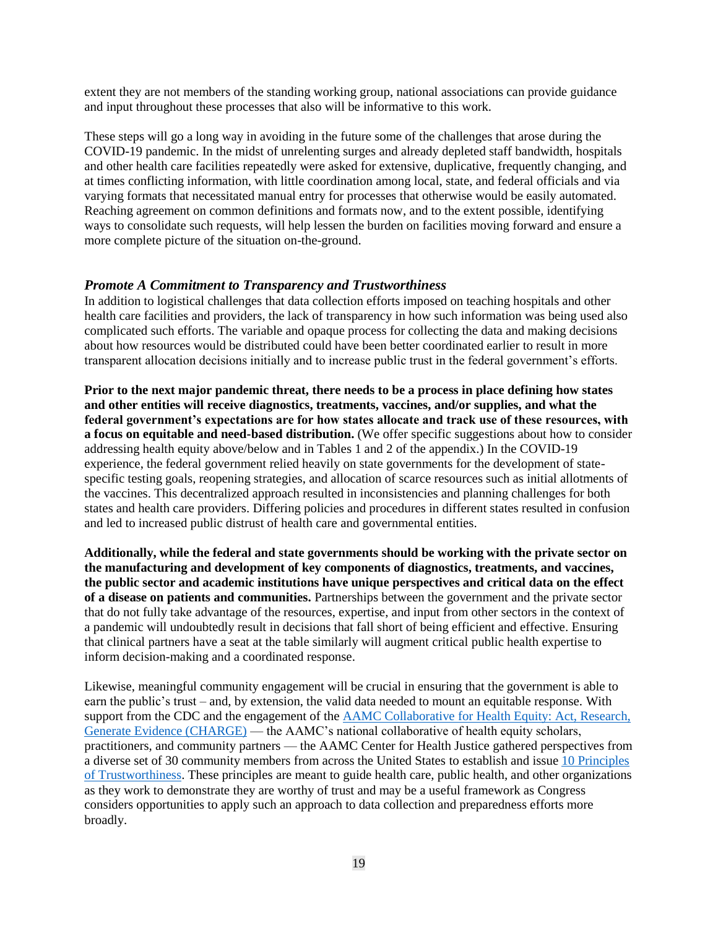extent they are not members of the standing working group, national associations can provide guidance and input throughout these processes that also will be informative to this work.

These steps will go a long way in avoiding in the future some of the challenges that arose during the COVID-19 pandemic. In the midst of unrelenting surges and already depleted staff bandwidth, hospitals and other health care facilities repeatedly were asked for extensive, duplicative, frequently changing, and at times conflicting information, with little coordination among local, state, and federal officials and via varying formats that necessitated manual entry for processes that otherwise would be easily automated. Reaching agreement on common definitions and formats now, and to the extent possible, identifying ways to consolidate such requests, will help lessen the burden on facilities moving forward and ensure a more complete picture of the situation on-the-ground.

## *Promote A Commitment to Transparency and Trustworthiness*

In addition to logistical challenges that data collection efforts imposed on teaching hospitals and other health care facilities and providers, the lack of transparency in how such information was being used also complicated such efforts. The variable and opaque process for collecting the data and making decisions about how resources would be distributed could have been better coordinated earlier to result in more transparent allocation decisions initially and to increase public trust in the federal government's efforts.

**Prior to the next major pandemic threat, there needs to be a process in place defining how states and other entities will receive diagnostics, treatments, vaccines, and/or supplies, and what the federal government's expectations are for how states allocate and track use of these resources, with a focus on equitable and need-based distribution.** (We offer specific suggestions about how to consider addressing health equity above/below and in Tables 1 and 2 of the appendix.) In the COVID-19 experience, the federal government relied heavily on state governments for the development of statespecific testing goals, reopening strategies, and allocation of scarce resources such as initial allotments of the vaccines. This decentralized approach resulted in inconsistencies and planning challenges for both states and health care providers. Differing policies and procedures in different states resulted in confusion and led to increased public distrust of health care and governmental entities.

**Additionally, while the federal and state governments should be working with the private sector on the manufacturing and development of key components of diagnostics, treatments, and vaccines, the public sector and academic institutions have unique perspectives and critical data on the effect of a disease on patients and communities.** Partnerships between the government and the private sector that do not fully take advantage of the resources, expertise, and input from other sectors in the context of a pandemic will undoubtedly result in decisions that fall short of being efficient and effective. Ensuring that clinical partners have a seat at the table similarly will augment critical public health expertise to inform decision-making and a coordinated response.

Likewise, meaningful community engagement will be crucial in ensuring that the government is able to earn the public's trust – and, by extension, the valid data needed to mount an equitable response. With support from the CDC and the engagement of the **AAMC** Collaborative for Health Equity: Act, Research, [Generate Evidence \(CHARGE\)](https://www.aamc.org/what-we-do/mission-areas/medical-research/health-equity/aamc-charge) — the AAMC's national collaborative of health equity scholars, practitioners, and community partners — the AAMC Center for Health Justice gathered perspectives from a diverse set of 30 community members from across the United States to establish and issue [10 Principles](https://www.aamc.org/media/54196/download)  [of Trustworthiness.](https://www.aamc.org/media/54196/download) These principles are meant to guide health care, public health, and other organizations as they work to demonstrate they are worthy of trust and may be a useful framework as Congress considers opportunities to apply such an approach to data collection and preparedness efforts more broadly.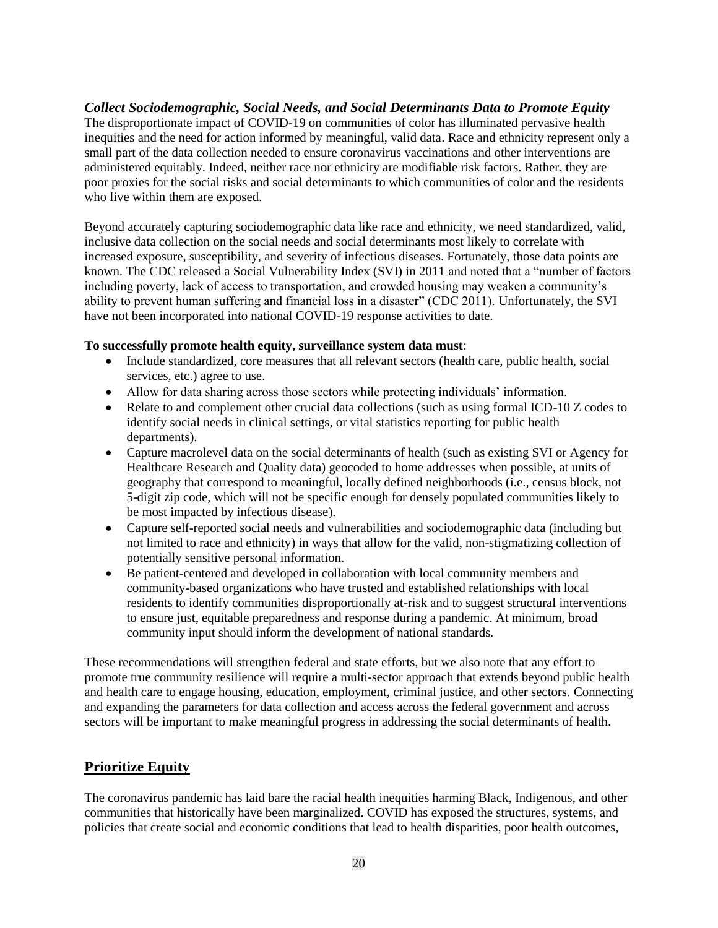## *Collect Sociodemographic, Social Needs, and Social Determinants Data to Promote Equity*

The disproportionate impact of COVID-19 on communities of color has illuminated pervasive health inequities and the need for action informed by meaningful, valid data. Race and ethnicity represent only a small part of the data collection needed to ensure coronavirus vaccinations and other interventions are administered equitably. Indeed, neither race nor ethnicity are modifiable risk factors. Rather, they are poor proxies for the social risks and social determinants to which communities of color and the residents who live within them are exposed.

Beyond accurately capturing sociodemographic data like race and ethnicity, we need standardized, valid, inclusive data collection on the social needs and social determinants most likely to correlate with increased exposure, susceptibility, and severity of infectious diseases. Fortunately, those data points are known. The CDC released a Social Vulnerability Index (SVI) in 2011 and noted that a "number of factors including poverty, lack of access to transportation, and crowded housing may weaken a community's ability to prevent human suffering and financial loss in a disaster" (CDC 2011). Unfortunately, the SVI have not been incorporated into national COVID-19 response activities to date.

#### **To successfully promote health equity, surveillance system data must**:

- Include standardized, core measures that all relevant sectors (health care, public health, social services, etc.) agree to use.
- Allow for data sharing across those sectors while protecting individuals' information.
- Relate to and complement other crucial data collections (such as using formal ICD-10 Z codes to identify social needs in clinical settings, or vital statistics reporting for public health departments).
- Capture macrolevel data on the social determinants of health (such as existing SVI or Agency for Healthcare Research and Quality data) geocoded to home addresses when possible, at units of geography that correspond to meaningful, locally defined neighborhoods (i.e., census block, not 5-digit zip code, which will not be specific enough for densely populated communities likely to be most impacted by infectious disease).
- Capture self-reported social needs and vulnerabilities and sociodemographic data (including but not limited to race and ethnicity) in ways that allow for the valid, non-stigmatizing collection of potentially sensitive personal information.
- Be patient-centered and developed in collaboration with local community members and community-based organizations who have trusted and established relationships with local residents to identify communities disproportionally at-risk and to suggest structural interventions to ensure just, equitable preparedness and response during a pandemic. At minimum, broad community input should inform the development of national standards.

These recommendations will strengthen federal and state efforts, but we also note that any effort to promote true community resilience will require a multi-sector approach that extends beyond public health and health care to engage housing, education, employment, criminal justice, and other sectors. Connecting and expanding the parameters for data collection and access across the federal government and across sectors will be important to make meaningful progress in addressing the social determinants of health.

## **Prioritize Equity**

The coronavirus pandemic has laid bare the racial health inequities harming Black, Indigenous, and other communities that historically have been marginalized. COVID has exposed the structures, systems, and policies that create social and economic conditions that lead to health disparities, poor health outcomes,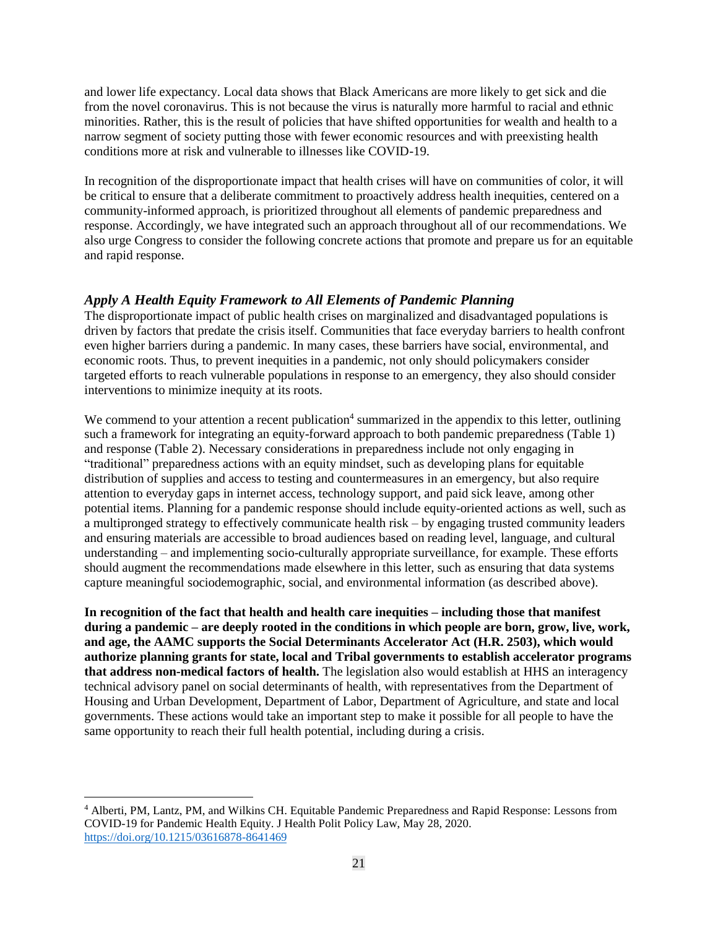and lower life expectancy. Local data shows that Black Americans are more likely to get sick and die from the novel coronavirus. This is not because the virus is naturally more harmful to racial and ethnic minorities. Rather, this is the result of policies that have shifted opportunities for wealth and health to a narrow segment of society putting those with fewer economic resources and with preexisting health conditions more at risk and vulnerable to illnesses like COVID-19.

In recognition of the disproportionate impact that health crises will have on communities of color, it will be critical to ensure that a deliberate commitment to proactively address health inequities, centered on a community-informed approach, is prioritized throughout all elements of pandemic preparedness and response. Accordingly, we have integrated such an approach throughout all of our recommendations. We also urge Congress to consider the following concrete actions that promote and prepare us for an equitable and rapid response.

# *Apply A Health Equity Framework to All Elements of Pandemic Planning*

The disproportionate impact of public health crises on marginalized and disadvantaged populations is driven by factors that predate the crisis itself. Communities that face everyday barriers to health confront even higher barriers during a pandemic. In many cases, these barriers have social, environmental, and economic roots. Thus, to prevent inequities in a pandemic, not only should policymakers consider targeted efforts to reach vulnerable populations in response to an emergency, they also should consider interventions to minimize inequity at its roots.

We commend to your attention a recent publication<sup>4</sup> summarized in the appendix to this letter, outlining such a framework for integrating an equity-forward approach to both pandemic preparedness (Table 1) and response (Table 2). Necessary considerations in preparedness include not only engaging in "traditional" preparedness actions with an equity mindset, such as developing plans for equitable distribution of supplies and access to testing and countermeasures in an emergency, but also require attention to everyday gaps in internet access, technology support, and paid sick leave, among other potential items. Planning for a pandemic response should include equity-oriented actions as well, such as a multipronged strategy to effectively communicate health risk – by engaging trusted community leaders and ensuring materials are accessible to broad audiences based on reading level, language, and cultural understanding – and implementing socio-culturally appropriate surveillance, for example. These efforts should augment the recommendations made elsewhere in this letter, such as ensuring that data systems capture meaningful sociodemographic, social, and environmental information (as described above).

**In recognition of the fact that health and health care inequities – including those that manifest during a pandemic – are deeply rooted in the conditions in which people are born, grow, live, work, and age, the AAMC supports the Social Determinants Accelerator Act (H.R. 2503), which would authorize planning grants for state, local and Tribal governments to establish accelerator programs that address non-medical factors of health.** The legislation also would establish at HHS an interagency technical advisory panel on social determinants of health, with representatives from the Department of Housing and Urban Development, Department of Labor, Department of Agriculture, and state and local governments. These actions would take an important step to make it possible for all people to have the same opportunity to reach their full health potential, including during a crisis.

 $\overline{\phantom{a}}$ 

<sup>4</sup> Alberti, PM, Lantz, PM, and Wilkins CH. Equitable Pandemic Preparedness and Rapid Response: Lessons from COVID-19 for Pandemic Health Equity. J Health Polit Policy Law, May 28, 2020. <https://doi.org/10.1215/03616878-8641469>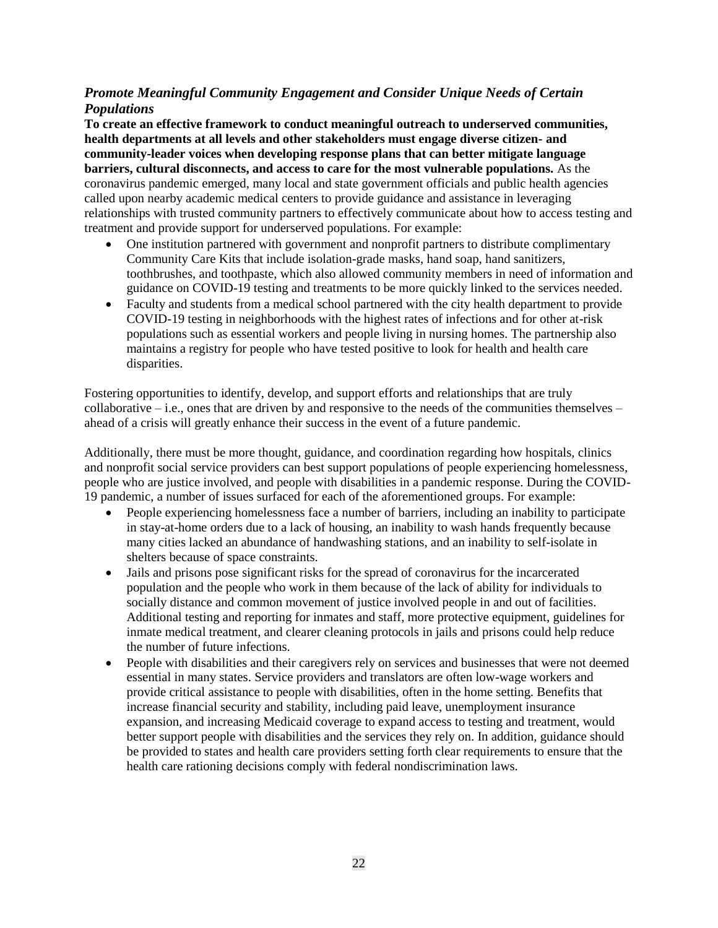# *Promote Meaningful Community Engagement and Consider Unique Needs of Certain Populations*

**To create an effective framework to conduct meaningful outreach to underserved communities, health departments at all levels and other stakeholders must engage diverse citizen- and community-leader voices when developing response plans that can better mitigate language barriers, cultural disconnects, and access to care for the most vulnerable populations.** As the coronavirus pandemic emerged, many local and state government officials and public health agencies called upon nearby academic medical centers to provide guidance and assistance in leveraging relationships with trusted community partners to effectively communicate about how to access testing and treatment and provide support for underserved populations. For example:

- One institution partnered with government and nonprofit partners to distribute complimentary Community Care Kits that include isolation-grade masks, hand soap, hand sanitizers, toothbrushes, and toothpaste, which also allowed community members in need of information and guidance on COVID-19 testing and treatments to be more quickly linked to the services needed.
- Faculty and students from a medical school partnered with the city health department to provide COVID-19 testing in neighborhoods with the highest rates of infections and for other at-risk populations such as essential workers and people living in nursing homes. The partnership also maintains a registry for people who have tested positive to look for health and health care disparities.

Fostering opportunities to identify, develop, and support efforts and relationships that are truly collaborative – i.e., ones that are driven by and responsive to the needs of the communities themselves – ahead of a crisis will greatly enhance their success in the event of a future pandemic.

Additionally, there must be more thought, guidance, and coordination regarding how hospitals, clinics and nonprofit social service providers can best support populations of people experiencing homelessness, people who are justice involved, and people with disabilities in a pandemic response. During the COVID-19 pandemic, a number of issues surfaced for each of the aforementioned groups. For example:

- People experiencing homelessness face a number of barriers, including an inability to participate in stay-at-home orders due to a lack of housing, an inability to wash hands frequently because many cities lacked an abundance of handwashing stations, and an inability to self-isolate in shelters because of space constraints.
- Jails and prisons pose significant risks for the spread of coronavirus for the incarcerated population and the people who work in them because of the lack of ability for individuals to socially distance and common movement of justice involved people in and out of facilities. Additional testing and reporting for inmates and staff, more protective equipment, guidelines for inmate medical treatment, and clearer cleaning protocols in jails and prisons could help reduce the number of future infections.
- People with disabilities and their caregivers rely on services and businesses that were not deemed essential in many states. Service providers and translators are often low-wage workers and provide critical assistance to people with disabilities, often in the home setting. Benefits that increase financial security and stability, including paid leave, unemployment insurance expansion, and increasing Medicaid coverage to expand access to testing and treatment, would better support people with disabilities and the services they rely on. In addition, guidance should be provided to states and health care providers setting forth clear requirements to ensure that the health care rationing decisions comply with federal nondiscrimination laws.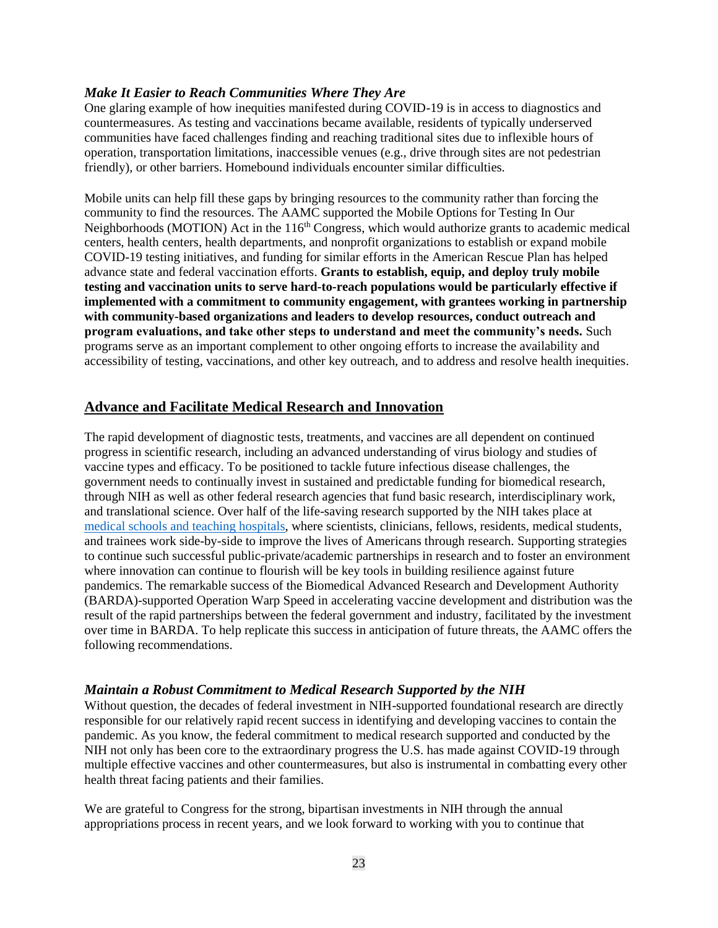## *Make It Easier to Reach Communities Where They Are*

One glaring example of how inequities manifested during COVID-19 is in access to diagnostics and countermeasures. As testing and vaccinations became available, residents of typically underserved communities have faced challenges finding and reaching traditional sites due to inflexible hours of operation, transportation limitations, inaccessible venues (e.g., drive through sites are not pedestrian friendly), or other barriers. Homebound individuals encounter similar difficulties.

Mobile units can help fill these gaps by bringing resources to the community rather than forcing the community to find the resources. The AAMC supported the Mobile Options for Testing In Our Neighborhoods (MOTION) Act in the 116<sup>th</sup> Congress, which would authorize grants to academic medical centers, health centers, health departments, and nonprofit organizations to establish or expand mobile COVID-19 testing initiatives, and funding for similar efforts in the American Rescue Plan has helped advance state and federal vaccination efforts. **Grants to establish, equip, and deploy truly mobile testing and vaccination units to serve hard-to-reach populations would be particularly effective if implemented with a commitment to community engagement, with grantees working in partnership with community-based organizations and leaders to develop resources, conduct outreach and program evaluations, and take other steps to understand and meet the community's needs.** Such programs serve as an important complement to other ongoing efforts to increase the availability and accessibility of testing, vaccinations, and other key outreach, and to address and resolve health inequities.

## **Advance and Facilitate Medical Research and Innovation**

The rapid development of diagnostic tests, treatments, and vaccines are all dependent on continued progress in scientific research, including an advanced understanding of virus biology and studies of vaccine types and efficacy. To be positioned to tackle future infectious disease challenges, the government needs to continually invest in sustained and predictable funding for biomedical research, through NIH as well as other federal research agencies that fund basic research, interdisciplinary work, and translational science. Over half of the life-saving research supported by the NIH takes place at [medical schools and teaching](https://www.aamc.org/system/files/d/1/1565593933-nih_-_final_value_of_nih-funded_research_infographic_-_20190502.pdf) hospitals, where scientists, clinicians, fellows, residents, medical students, and trainees work side-by-side to improve the lives of Americans through research. Supporting strategies to continue such successful public-private/academic partnerships in research and to foster an environment where innovation can continue to flourish will be key tools in building resilience against future pandemics. The remarkable success of the Biomedical Advanced Research and Development Authority (BARDA)-supported Operation Warp Speed in accelerating vaccine development and distribution was the result of the rapid partnerships between the federal government and industry, facilitated by the investment over time in BARDA. To help replicate this success in anticipation of future threats, the AAMC offers the following recommendations.

## *Maintain a Robust Commitment to Medical Research Supported by the NIH*

Without question, the decades of federal investment in NIH-supported foundational research are directly responsible for our relatively rapid recent success in identifying and developing vaccines to contain the pandemic. As you know, the federal commitment to medical research supported and conducted by the NIH not only has been core to the extraordinary progress the U.S. has made against COVID-19 through multiple effective vaccines and other countermeasures, but also is instrumental in combatting every other health threat facing patients and their families.

We are grateful to Congress for the strong, bipartisan investments in NIH through the annual appropriations process in recent years, and we look forward to working with you to continue that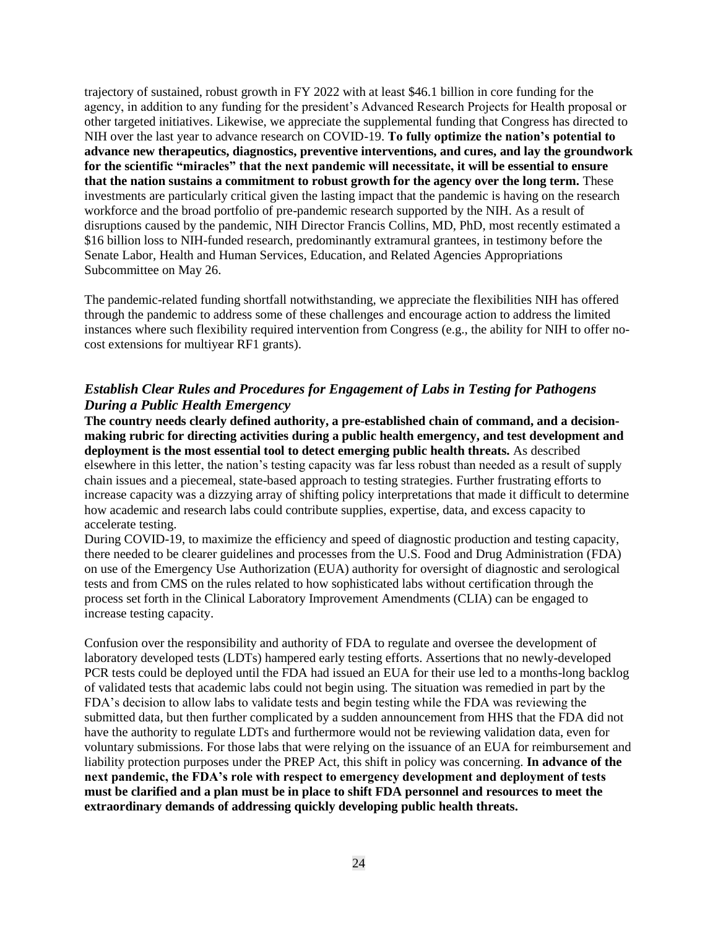trajectory of sustained, robust growth in FY 2022 with at least \$46.1 billion in core funding for the agency, in addition to any funding for the president's Advanced Research Projects for Health proposal or other targeted initiatives. Likewise, we appreciate the supplemental funding that Congress has directed to NIH over the last year to advance research on COVID-19. **To fully optimize the nation's potential to advance new therapeutics, diagnostics, preventive interventions, and cures, and lay the groundwork for the scientific "miracles" that the next pandemic will necessitate, it will be essential to ensure that the nation sustains a commitment to robust growth for the agency over the long term.** These investments are particularly critical given the lasting impact that the pandemic is having on the research workforce and the broad portfolio of pre-pandemic research supported by the NIH. As a result of disruptions caused by the pandemic, NIH Director Francis Collins, MD, PhD, most recently estimated a \$16 billion loss to NIH-funded research, predominantly extramural grantees, in testimony before the Senate Labor, Health and Human Services, Education, and Related Agencies Appropriations Subcommittee on May 26.

The pandemic-related funding shortfall notwithstanding, we appreciate the flexibilities NIH has offered through the pandemic to address some of these challenges and encourage action to address the limited instances where such flexibility required intervention from Congress (e.g., the ability for NIH to offer nocost extensions for multiyear RF1 grants).

## *Establish Clear Rules and Procedures for Engagement of Labs in Testing for Pathogens During a Public Health Emergency*

**The country needs clearly defined authority, a pre-established chain of command, and a decisionmaking rubric for directing activities during a public health emergency, and test development and deployment is the most essential tool to detect emerging public health threats.** As described elsewhere in this letter, the nation's testing capacity was far less robust than needed as a result of supply chain issues and a piecemeal, state-based approach to testing strategies. Further frustrating efforts to increase capacity was a dizzying array of shifting policy interpretations that made it difficult to determine how academic and research labs could contribute supplies, expertise, data, and excess capacity to accelerate testing.

During COVID-19, to maximize the efficiency and speed of diagnostic production and testing capacity, there needed to be clearer guidelines and processes from the U.S. Food and Drug Administration (FDA) on use of the Emergency Use Authorization (EUA) authority for oversight of diagnostic and serological tests and from CMS on the rules related to how sophisticated labs without certification through the process set forth in the Clinical Laboratory Improvement Amendments (CLIA) can be engaged to increase testing capacity.

Confusion over the responsibility and authority of FDA to regulate and oversee the development of laboratory developed tests (LDTs) hampered early testing efforts. Assertions that no newly-developed PCR tests could be deployed until the FDA had issued an EUA for their use led to a months-long backlog of validated tests that academic labs could not begin using. The situation was remedied in part by the FDA's decision to allow labs to validate tests and begin testing while the FDA was reviewing the submitted data, but then further complicated by a sudden announcement from HHS that the FDA did not have the authority to regulate LDTs and furthermore would not be reviewing validation data, even for voluntary submissions. For those labs that were relying on the issuance of an EUA for reimbursement and liability protection purposes under the PREP Act, this shift in policy was concerning. **In advance of the next pandemic, the FDA's role with respect to emergency development and deployment of tests must be clarified and a plan must be in place to shift FDA personnel and resources to meet the extraordinary demands of addressing quickly developing public health threats.**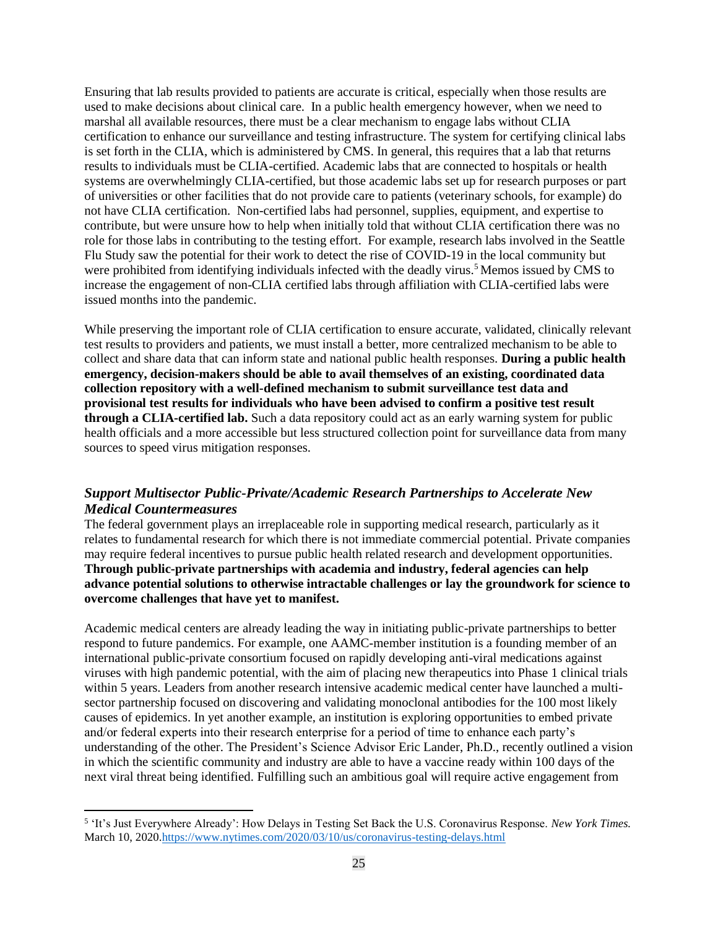Ensuring that lab results provided to patients are accurate is critical, especially when those results are used to make decisions about clinical care. In a public health emergency however, when we need to marshal all available resources, there must be a clear mechanism to engage labs without CLIA certification to enhance our surveillance and testing infrastructure. The system for certifying clinical labs is set forth in the CLIA, which is administered by CMS. In general, this requires that a lab that returns results to individuals must be CLIA-certified. Academic labs that are connected to hospitals or health systems are overwhelmingly CLIA-certified, but those academic labs set up for research purposes or part of universities or other facilities that do not provide care to patients (veterinary schools, for example) do not have CLIA certification. Non-certified labs had personnel, supplies, equipment, and expertise to contribute, but were unsure how to help when initially told that without CLIA certification there was no role for those labs in contributing to the testing effort. For example, research labs involved in the Seattle Flu Study saw the potential for their work to detect the rise of COVID-19 in the local community but were prohibited from identifying individuals infected with the deadly virus.<sup>5</sup> Memos issued by CMS to increase the engagement of non-CLIA certified labs through affiliation with CLIA-certified labs were issued months into the pandemic.

While preserving the important role of CLIA certification to ensure accurate, validated, clinically relevant test results to providers and patients, we must install a better, more centralized mechanism to be able to collect and share data that can inform state and national public health responses. **During a public health emergency, decision-makers should be able to avail themselves of an existing, coordinated data collection repository with a well-defined mechanism to submit surveillance test data and provisional test results for individuals who have been advised to confirm a positive test result through a CLIA-certified lab.** Such a data repository could act as an early warning system for public health officials and a more accessible but less structured collection point for surveillance data from many sources to speed virus mitigation responses.

# *Support Multisector Public-Private/Academic Research Partnerships to Accelerate New Medical Countermeasures*

The federal government plays an irreplaceable role in supporting medical research, particularly as it relates to fundamental research for which there is not immediate commercial potential. Private companies may require federal incentives to pursue public health related research and development opportunities. **Through public-private partnerships with academia and industry, federal agencies can help advance potential solutions to otherwise intractable challenges or lay the groundwork for science to overcome challenges that have yet to manifest.**

Academic medical centers are already leading the way in initiating public-private partnerships to better respond to future pandemics. For example, one AAMC-member institution is a founding member of an international public-private consortium focused on rapidly developing anti-viral medications against viruses with high pandemic potential, with the aim of placing new therapeutics into Phase 1 clinical trials within 5 years. Leaders from another research intensive academic medical center have launched a multisector partnership focused on discovering and validating monoclonal antibodies for the 100 most likely causes of epidemics. In yet another example, an institution is exploring opportunities to embed private and/or federal experts into their research enterprise for a period of time to enhance each party's understanding of the other. The President's Science Advisor Eric Lander, Ph.D., recently outlined a vision in which the scientific community and industry are able to have a vaccine ready within 100 days of the next viral threat being identified. Fulfilling such an ambitious goal will require active engagement from

 $\overline{a}$ 

<sup>5</sup> 'It's Just Everywhere Already': How Delays in Testing Set Back the U.S. Coronavirus Response. *New York Times.*  March 10, 2020[.https://www.nytimes.com/2020/03/10/us/coronavirus-testing-delays.html](https://www.nytimes.com/2020/03/10/us/coronavirus-testing-delays.html)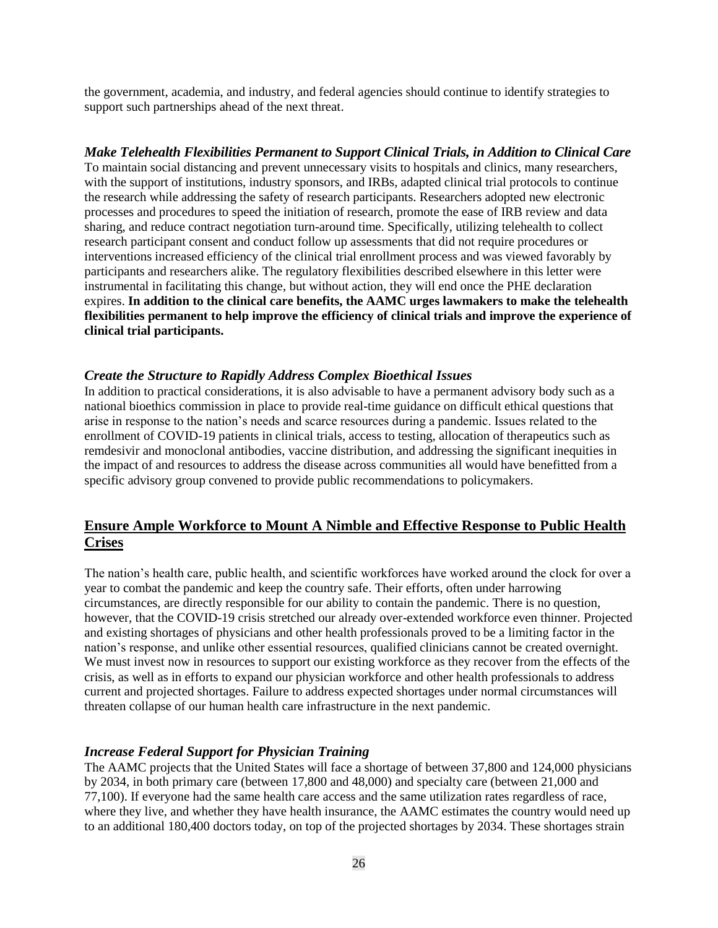the government, academia, and industry, and federal agencies should continue to identify strategies to support such partnerships ahead of the next threat.

#### *Make Telehealth Flexibilities Permanent to Support Clinical Trials, in Addition to Clinical Care*

To maintain social distancing and prevent unnecessary visits to hospitals and clinics, many researchers, with the support of institutions, industry sponsors, and IRBs, adapted clinical trial protocols to continue the research while addressing the safety of research participants. Researchers adopted new electronic processes and procedures to speed the initiation of research, promote the ease of IRB review and data sharing, and reduce contract negotiation turn-around time. Specifically, utilizing telehealth to collect research participant consent and conduct follow up assessments that did not require procedures or interventions increased efficiency of the clinical trial enrollment process and was viewed favorably by participants and researchers alike. The regulatory flexibilities described elsewhere in this letter were instrumental in facilitating this change, but without action, they will end once the PHE declaration expires. **In addition to the clinical care benefits, the AAMC urges lawmakers to make the telehealth flexibilities permanent to help improve the efficiency of clinical trials and improve the experience of clinical trial participants.**

#### *Create the Structure to Rapidly Address Complex Bioethical Issues*

In addition to practical considerations, it is also advisable to have a permanent advisory body such as a national bioethics commission in place to provide real-time guidance on difficult ethical questions that arise in response to the nation's needs and scarce resources during a pandemic. Issues related to the enrollment of COVID-19 patients in clinical trials, access to testing, allocation of therapeutics such as remdesivir and monoclonal antibodies, vaccine distribution, and addressing the significant inequities in the impact of and resources to address the disease across communities all would have benefitted from a specific advisory group convened to provide public recommendations to policymakers.

# **Ensure Ample Workforce to Mount A Nimble and Effective Response to Public Health Crises**

The nation's health care, public health, and scientific workforces have worked around the clock for over a year to combat the pandemic and keep the country safe. Their efforts, often under harrowing circumstances, are directly responsible for our ability to contain the pandemic. There is no question, however, that the COVID-19 crisis stretched our already over-extended workforce even thinner. Projected and existing shortages of physicians and other health professionals proved to be a limiting factor in the nation's response, and unlike other essential resources, qualified clinicians cannot be created overnight. We must invest now in resources to support our existing workforce as they recover from the effects of the crisis, as well as in efforts to expand our physician workforce and other health professionals to address current and projected shortages. Failure to address expected shortages under normal circumstances will threaten collapse of our human health care infrastructure in the next pandemic.

### *Increase Federal Support for Physician Training*

The AAMC projects that the United States will face a shortage of between 37,800 and 124,000 physicians by 2034, in both primary care (between 17,800 and 48,000) and specialty care (between 21,000 and 77,100). If everyone had the same health care access and the same utilization rates regardless of race, where they live, and whether they have health insurance, the AAMC estimates the country would need up to an additional 180,400 doctors today, on top of the projected shortages by 2034. These shortages strain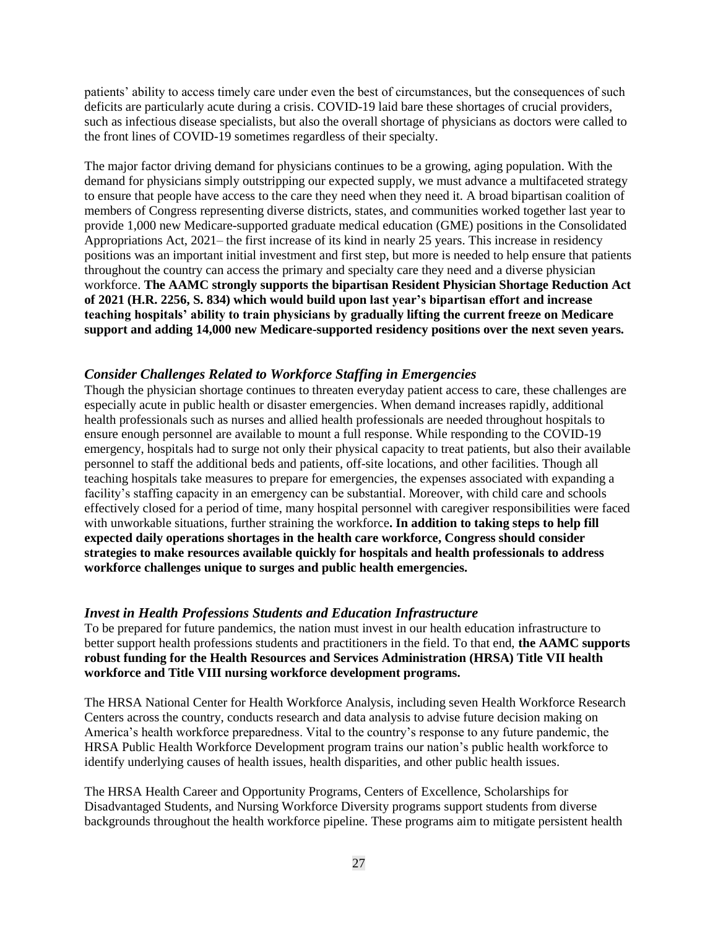patients' ability to access timely care under even the best of circumstances, but the consequences of such deficits are particularly acute during a crisis. COVID-19 laid bare these shortages of crucial providers, such as infectious disease specialists, but also the overall shortage of physicians as doctors were called to the front lines of COVID-19 sometimes regardless of their specialty.

The major factor driving demand for physicians continues to be a growing, aging population. With the demand for physicians simply outstripping our expected supply, we must advance a multifaceted strategy to ensure that people have access to the care they need when they need it. A broad bipartisan coalition of members of Congress representing diverse districts, states, and communities worked together last year to provide 1,000 new Medicare-supported graduate medical education (GME) positions in the Consolidated Appropriations Act, 2021– the first increase of its kind in nearly 25 years. This increase in residency positions was an important initial investment and first step, but more is needed to help ensure that patients throughout the country can access the primary and specialty care they need and a diverse physician workforce. **The AAMC strongly supports the bipartisan Resident Physician Shortage Reduction Act of 2021 (H.R. 2256, S. 834) which would build upon last year's bipartisan effort and increase teaching hospitals' ability to train physicians by gradually lifting the current freeze on Medicare support and adding 14,000 new Medicare-supported residency positions over the next seven years.**

### *Consider Challenges Related to Workforce Staffing in Emergencies*

Though the physician shortage continues to threaten everyday patient access to care, these challenges are especially acute in public health or disaster emergencies. When demand increases rapidly, additional health professionals such as nurses and allied health professionals are needed throughout hospitals to ensure enough personnel are available to mount a full response. While responding to the COVID-19 emergency, hospitals had to surge not only their physical capacity to treat patients, but also their available personnel to staff the additional beds and patients, off-site locations, and other facilities. Though all teaching hospitals take measures to prepare for emergencies, the expenses associated with expanding a facility's staffing capacity in an emergency can be substantial. Moreover, with child care and schools effectively closed for a period of time, many hospital personnel with caregiver responsibilities were faced with unworkable situations, further straining the workforce**. In addition to taking steps to help fill expected daily operations shortages in the health care workforce, Congress should consider strategies to make resources available quickly for hospitals and health professionals to address workforce challenges unique to surges and public health emergencies.**

### *Invest in Health Professions Students and Education Infrastructure*

To be prepared for future pandemics, the nation must invest in our health education infrastructure to better support health professions students and practitioners in the field. To that end, **the AAMC supports robust funding for the Health Resources and Services Administration (HRSA) Title VII health workforce and Title VIII nursing workforce development programs.**

The HRSA National Center for Health Workforce Analysis, including seven Health Workforce Research Centers across the country, conducts research and data analysis to advise future decision making on America's health workforce preparedness. Vital to the country's response to any future pandemic, the HRSA Public Health Workforce Development program trains our nation's public health workforce to identify underlying causes of health issues, health disparities, and other public health issues.

The HRSA Health Career and Opportunity Programs, Centers of Excellence, Scholarships for Disadvantaged Students, and Nursing Workforce Diversity programs support students from diverse backgrounds throughout the health workforce pipeline. These programs aim to mitigate persistent health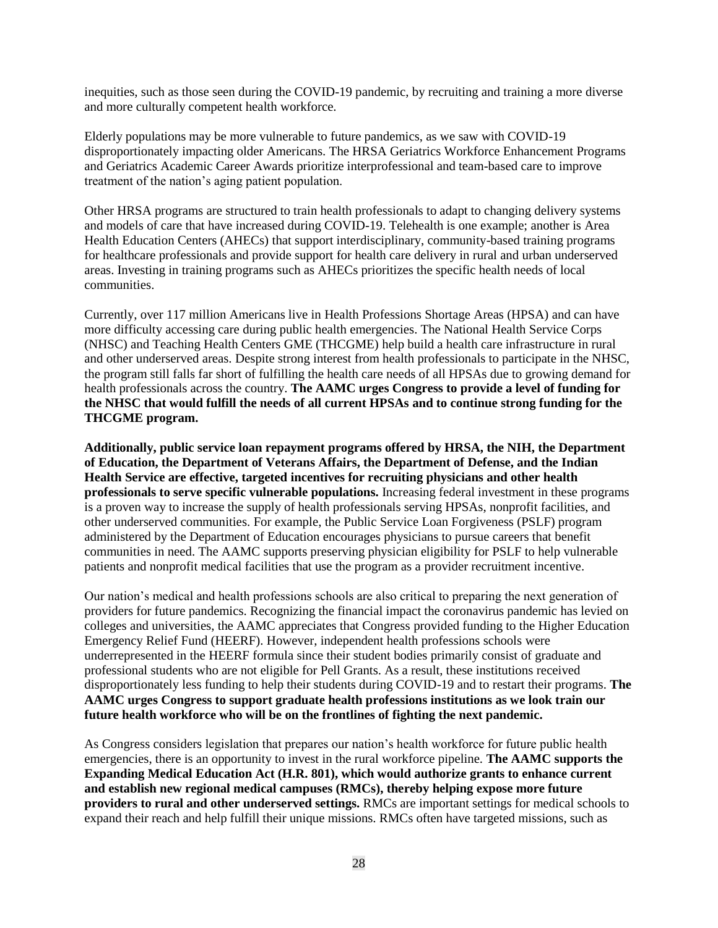inequities, such as those seen during the COVID-19 pandemic, by recruiting and training a more diverse and more culturally competent health workforce.

Elderly populations may be more vulnerable to future pandemics, as we saw with COVID-19 disproportionately impacting older Americans. The HRSA Geriatrics Workforce Enhancement Programs and Geriatrics Academic Career Awards prioritize interprofessional and team-based care to improve treatment of the nation's aging patient population.

Other HRSA programs are structured to train health professionals to adapt to changing delivery systems and models of care that have increased during COVID-19. Telehealth is one example; another is Area Health Education Centers (AHECs) that support interdisciplinary, community-based training programs for healthcare professionals and provide support for health care delivery in rural and urban underserved areas. Investing in training programs such as AHECs prioritizes the specific health needs of local communities.

Currently, over 117 million Americans live in Health Professions Shortage Areas (HPSA) and can have more difficulty accessing care during public health emergencies. The National Health Service Corps (NHSC) and Teaching Health Centers GME (THCGME) help build a health care infrastructure in rural and other underserved areas. Despite strong interest from health professionals to participate in the NHSC, the program still falls far short of fulfilling the health care needs of all HPSAs due to growing demand for health professionals across the country. **The AAMC urges Congress to provide a level of funding for the NHSC that would fulfill the needs of all current HPSAs and to continue strong funding for the THCGME program.**

**Additionally, public service loan repayment programs offered by HRSA, the NIH, the Department of Education, the Department of Veterans Affairs, the Department of Defense, and the Indian Health Service are effective, targeted incentives for recruiting physicians and other health professionals to serve specific vulnerable populations.** Increasing federal investment in these programs is a proven way to increase the supply of health professionals serving HPSAs, nonprofit facilities, and other underserved communities. For example, the Public Service Loan Forgiveness (PSLF) program administered by the Department of Education encourages physicians to pursue careers that benefit communities in need. The AAMC supports preserving physician eligibility for PSLF to help vulnerable patients and nonprofit medical facilities that use the program as a provider recruitment incentive.

Our nation's medical and health professions schools are also critical to preparing the next generation of providers for future pandemics. Recognizing the financial impact the coronavirus pandemic has levied on colleges and universities, the AAMC appreciates that Congress provided funding to the Higher Education Emergency Relief Fund (HEERF). However, independent health professions schools were underrepresented in the HEERF formula since their student bodies primarily consist of graduate and professional students who are not eligible for Pell Grants. As a result, these institutions received disproportionately less funding to help their students during COVID-19 and to restart their programs. **The AAMC urges Congress to support graduate health professions institutions as we look train our future health workforce who will be on the frontlines of fighting the next pandemic.**

As Congress considers legislation that prepares our nation's health workforce for future public health emergencies, there is an opportunity to invest in the rural workforce pipeline. **The AAMC supports the Expanding Medical Education Act (H.R. 801), which would authorize grants to enhance current and establish new regional medical campuses (RMCs), thereby helping expose more future providers to rural and other underserved settings.** RMCs are important settings for medical schools to expand their reach and help fulfill their unique missions. RMCs often have targeted missions, such as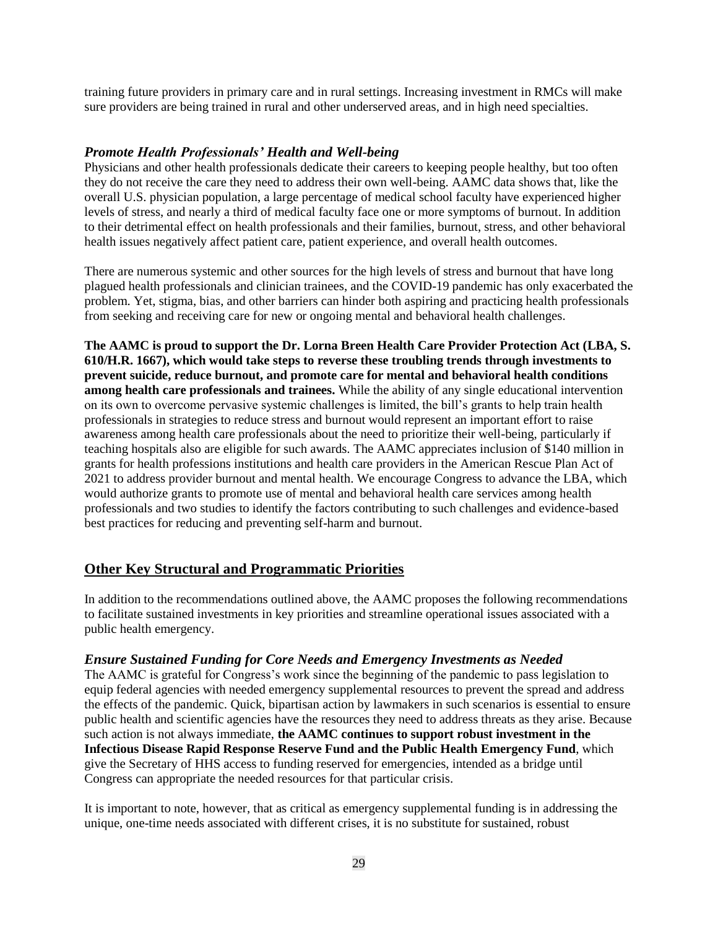training future providers in primary care and in rural settings. Increasing investment in RMCs will make sure providers are being trained in rural and other underserved areas, and in high need specialties.

## *Promote Health Professionals' Health and Well-being*

Physicians and other health professionals dedicate their careers to keeping people healthy, but too often they do not receive the care they need to address their own well-being. AAMC data shows that, like the overall U.S. physician population, a large percentage of medical school faculty have experienced higher levels of stress, and nearly a third of medical faculty face one or more symptoms of burnout. In addition to their detrimental effect on health professionals and their families, burnout, stress, and other behavioral health issues negatively affect patient care, patient experience, and overall health outcomes.

There are numerous systemic and other sources for the high levels of stress and burnout that have long plagued health professionals and clinician trainees, and the COVID-19 pandemic has only exacerbated the problem. Yet, stigma, bias, and other barriers can hinder both aspiring and practicing health professionals from seeking and receiving care for new or ongoing mental and behavioral health challenges.

**The AAMC is proud to support the Dr. Lorna Breen Health Care Provider Protection Act (LBA, S. 610/H.R. 1667), which would take steps to reverse these troubling trends through investments to prevent suicide, reduce burnout, and promote care for mental and behavioral health conditions among health care professionals and trainees.** While the ability of any single educational intervention on its own to overcome pervasive systemic challenges is limited, the bill's grants to help train health professionals in strategies to reduce stress and burnout would represent an important effort to raise awareness among health care professionals about the need to prioritize their well-being, particularly if teaching hospitals also are eligible for such awards. The AAMC appreciates inclusion of \$140 million in grants for health professions institutions and health care providers in the American Rescue Plan Act of 2021 to address provider burnout and mental health. We encourage Congress to advance the LBA, which would authorize grants to promote use of mental and behavioral health care services among health professionals and two studies to identify the factors contributing to such challenges and evidence-based best practices for reducing and preventing self-harm and burnout.

## **Other Key Structural and Programmatic Priorities**

In addition to the recommendations outlined above, the AAMC proposes the following recommendations to facilitate sustained investments in key priorities and streamline operational issues associated with a public health emergency.

### *Ensure Sustained Funding for Core Needs and Emergency Investments as Needed*

The AAMC is grateful for Congress's work since the beginning of the pandemic to pass legislation to equip federal agencies with needed emergency supplemental resources to prevent the spread and address the effects of the pandemic. Quick, bipartisan action by lawmakers in such scenarios is essential to ensure public health and scientific agencies have the resources they need to address threats as they arise. Because such action is not always immediate, **the AAMC continues to support robust investment in the Infectious Disease Rapid Response Reserve Fund and the Public Health Emergency Fund**, which give the Secretary of HHS access to funding reserved for emergencies, intended as a bridge until Congress can appropriate the needed resources for that particular crisis.

It is important to note, however, that as critical as emergency supplemental funding is in addressing the unique, one-time needs associated with different crises, it is no substitute for sustained, robust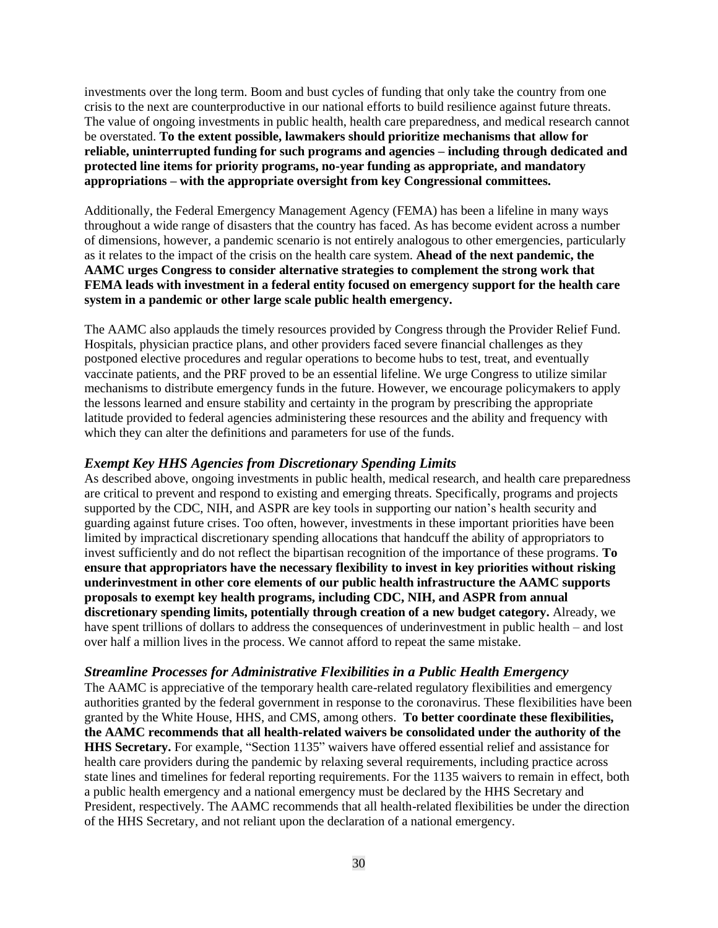investments over the long term. Boom and bust cycles of funding that only take the country from one crisis to the next are counterproductive in our national efforts to build resilience against future threats. The value of ongoing investments in public health, health care preparedness, and medical research cannot be overstated. **To the extent possible, lawmakers should prioritize mechanisms that allow for reliable, uninterrupted funding for such programs and agencies – including through dedicated and protected line items for priority programs, no-year funding as appropriate, and mandatory appropriations – with the appropriate oversight from key Congressional committees.**

Additionally, the Federal Emergency Management Agency (FEMA) has been a lifeline in many ways throughout a wide range of disasters that the country has faced. As has become evident across a number of dimensions, however, a pandemic scenario is not entirely analogous to other emergencies, particularly as it relates to the impact of the crisis on the health care system. **Ahead of the next pandemic, the AAMC urges Congress to consider alternative strategies to complement the strong work that FEMA leads with investment in a federal entity focused on emergency support for the health care system in a pandemic or other large scale public health emergency.**

The AAMC also applauds the timely resources provided by Congress through the Provider Relief Fund. Hospitals, physician practice plans, and other providers faced severe financial challenges as they postponed elective procedures and regular operations to become hubs to test, treat, and eventually vaccinate patients, and the PRF proved to be an essential lifeline. We urge Congress to utilize similar mechanisms to distribute emergency funds in the future. However, we encourage policymakers to apply the lessons learned and ensure stability and certainty in the program by prescribing the appropriate latitude provided to federal agencies administering these resources and the ability and frequency with which they can alter the definitions and parameters for use of the funds.

### *Exempt Key HHS Agencies from Discretionary Spending Limits*

As described above, ongoing investments in public health, medical research, and health care preparedness are critical to prevent and respond to existing and emerging threats. Specifically, programs and projects supported by the CDC, NIH, and ASPR are key tools in supporting our nation's health security and guarding against future crises. Too often, however, investments in these important priorities have been limited by impractical discretionary spending allocations that handcuff the ability of appropriators to invest sufficiently and do not reflect the bipartisan recognition of the importance of these programs. **To ensure that appropriators have the necessary flexibility to invest in key priorities without risking underinvestment in other core elements of our public health infrastructure the AAMC supports proposals to exempt key health programs, including CDC, NIH, and ASPR from annual discretionary spending limits, potentially through creation of a new budget category.** Already, we have spent trillions of dollars to address the consequences of underinvestment in public health – and lost over half a million lives in the process. We cannot afford to repeat the same mistake.

## *Streamline Processes for Administrative Flexibilities in a Public Health Emergency*

The AAMC is appreciative of the temporary health care-related regulatory flexibilities and emergency authorities granted by the federal government in response to the coronavirus. These flexibilities have been granted by the White House, HHS, and CMS, among others. **To better coordinate these flexibilities, the AAMC recommends that all health-related waivers be consolidated under the authority of the HHS Secretary.** For example, "Section 1135" waivers have offered essential relief and assistance for health care providers during the pandemic by relaxing several requirements, including practice across state lines and timelines for federal reporting requirements. For the 1135 waivers to remain in effect, both a public health emergency and a national emergency must be declared by the HHS Secretary and President, respectively. The AAMC recommends that all health-related flexibilities be under the direction of the HHS Secretary, and not reliant upon the declaration of a national emergency.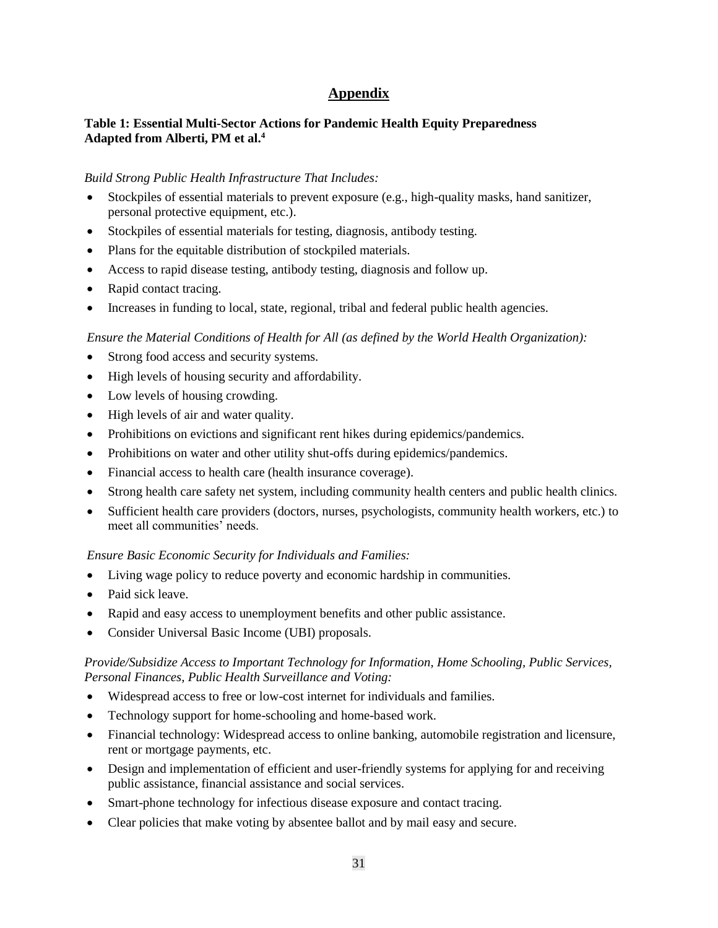# **Appendix**

## **Table 1: Essential Multi-Sector Actions for Pandemic Health Equity Preparedness Adapted from Alberti, PM et al. 4**

### *Build Strong Public Health Infrastructure That Includes:*

- Stockpiles of essential materials to prevent exposure (e.g., high-quality masks, hand sanitizer, personal protective equipment, etc.).
- Stockpiles of essential materials for testing, diagnosis, antibody testing.
- Plans for the equitable distribution of stockpiled materials.
- Access to rapid disease testing, antibody testing, diagnosis and follow up.
- Rapid contact tracing.
- Increases in funding to local, state, regional, tribal and federal public health agencies.

### *Ensure the Material Conditions of Health for All (as defined by the World Health Organization):*

- Strong food access and security systems.
- High levels of housing security and affordability.
- Low levels of housing crowding.
- High levels of air and water quality.
- Prohibitions on evictions and significant rent hikes during epidemics/pandemics.
- Prohibitions on water and other utility shut-offs during epidemics/pandemics.
- Financial access to health care (health insurance coverage).
- Strong health care safety net system, including community health centers and public health clinics.
- Sufficient health care providers (doctors, nurses, psychologists, community health workers, etc.) to meet all communities' needs.

### *Ensure Basic Economic Security for Individuals and Families:*

- Living wage policy to reduce poverty and economic hardship in communities.
- Paid sick leave.
- Rapid and easy access to unemployment benefits and other public assistance.
- Consider Universal Basic Income (UBI) proposals.

## *Provide/Subsidize Access to Important Technology for Information, Home Schooling, Public Services, Personal Finances, Public Health Surveillance and Voting:*

- Widespread access to free or low-cost internet for individuals and families.
- Technology support for home-schooling and home-based work.
- Financial technology: Widespread access to online banking, automobile registration and licensure, rent or mortgage payments, etc.
- Design and implementation of efficient and user-friendly systems for applying for and receiving public assistance, financial assistance and social services.
- Smart-phone technology for infectious disease exposure and contact tracing.
- Clear policies that make voting by absentee ballot and by mail easy and secure.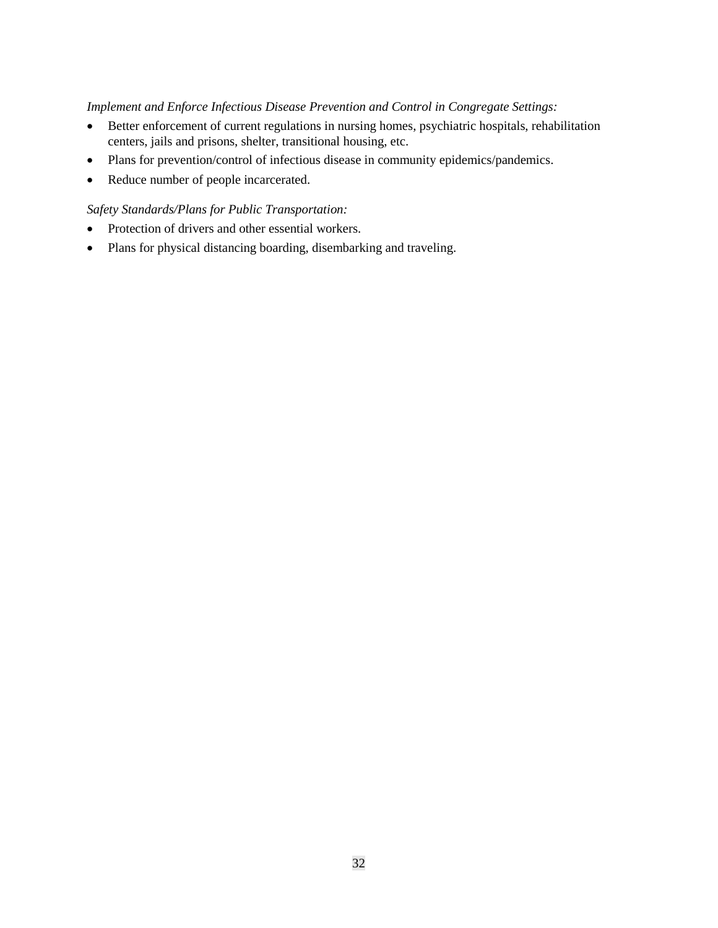### *Implement and Enforce Infectious Disease Prevention and Control in Congregate Settings:*

- Better enforcement of current regulations in nursing homes, psychiatric hospitals, rehabilitation centers, jails and prisons, shelter, transitional housing, etc.
- Plans for prevention/control of infectious disease in community epidemics/pandemics.
- Reduce number of people incarcerated.

## *Safety Standards/Plans for Public Transportation:*

- Protection of drivers and other essential workers.
- Plans for physical distancing boarding, disembarking and traveling.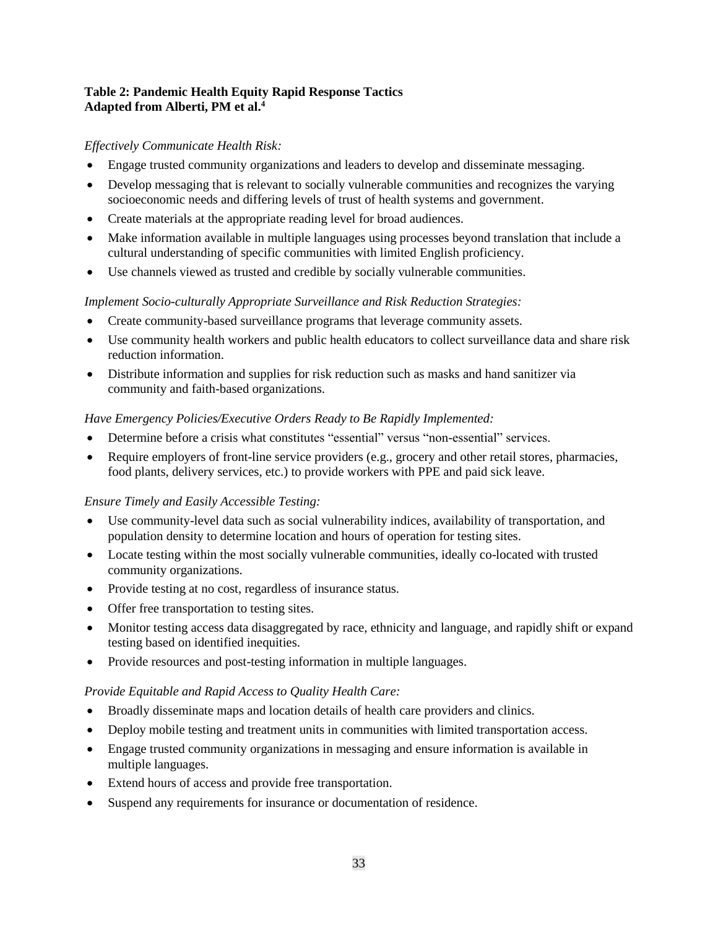## **Table 2: Pandemic Health Equity Rapid Response Tactics Adapted from Alberti, PM et al. 4**

## *Effectively Communicate Health Risk:*

- Engage trusted community organizations and leaders to develop and disseminate messaging.
- Develop messaging that is relevant to socially vulnerable communities and recognizes the varying socioeconomic needs and differing levels of trust of health systems and government.
- Create materials at the appropriate reading level for broad audiences.
- Make information available in multiple languages using processes beyond translation that include a cultural understanding of specific communities with limited English proficiency.
- Use channels viewed as trusted and credible by socially vulnerable communities.

## *Implement Socio-culturally Appropriate Surveillance and Risk Reduction Strategies:*

- Create community-based surveillance programs that leverage community assets.
- Use community health workers and public health educators to collect surveillance data and share risk reduction information.
- Distribute information and supplies for risk reduction such as masks and hand sanitizer via community and faith-based organizations.

## *Have Emergency Policies/Executive Orders Ready to Be Rapidly Implemented:*

- Determine before a crisis what constitutes "essential" versus "non-essential" services.
- Require employers of front-line service providers (e.g., grocery and other retail stores, pharmacies, food plants, delivery services, etc.) to provide workers with PPE and paid sick leave.

### *Ensure Timely and Easily Accessible Testing:*

- Use community-level data such as social vulnerability indices, availability of transportation, and population density to determine location and hours of operation for testing sites.
- Locate testing within the most socially vulnerable communities, ideally co-located with trusted community organizations.
- Provide testing at no cost, regardless of insurance status.
- Offer free transportation to testing sites.
- Monitor testing access data disaggregated by race, ethnicity and language, and rapidly shift or expand testing based on identified inequities.
- Provide resources and post-testing information in multiple languages.

## *Provide Equitable and Rapid Access to Quality Health Care:*

- Broadly disseminate maps and location details of health care providers and clinics.
- Deploy mobile testing and treatment units in communities with limited transportation access.
- Engage trusted community organizations in messaging and ensure information is available in multiple languages.
- Extend hours of access and provide free transportation.
- Suspend any requirements for insurance or documentation of residence.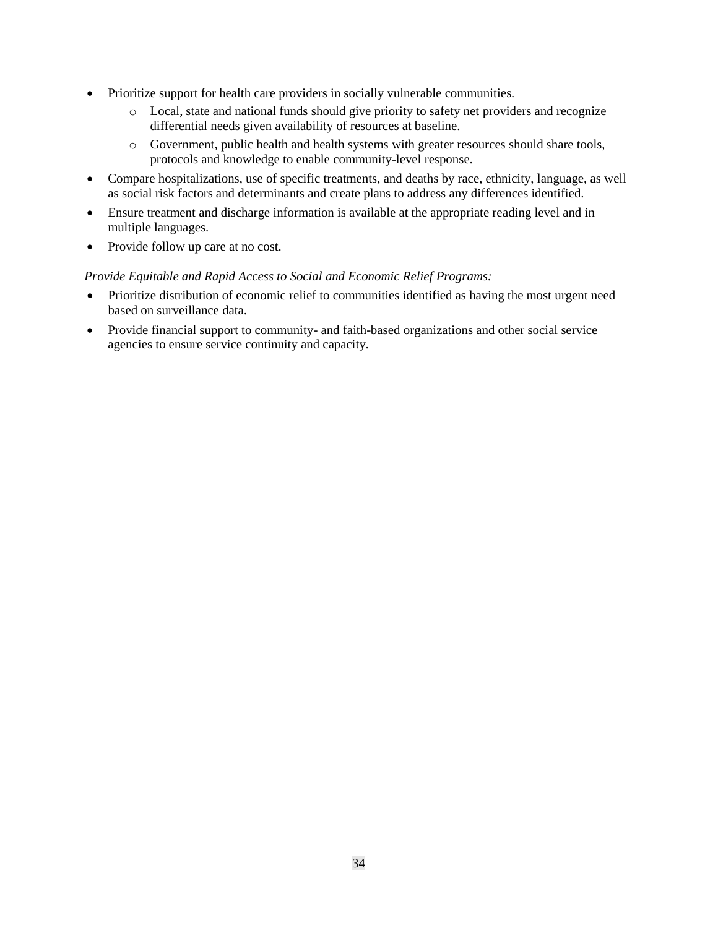- Prioritize support for health care providers in socially vulnerable communities.
	- o Local, state and national funds should give priority to safety net providers and recognize differential needs given availability of resources at baseline.
	- o Government, public health and health systems with greater resources should share tools, protocols and knowledge to enable community-level response.
- Compare hospitalizations, use of specific treatments, and deaths by race, ethnicity, language, as well as social risk factors and determinants and create plans to address any differences identified.
- Ensure treatment and discharge information is available at the appropriate reading level and in multiple languages.
- Provide follow up care at no cost.

### *Provide Equitable and Rapid Access to Social and Economic Relief Programs:*

- Prioritize distribution of economic relief to communities identified as having the most urgent need based on surveillance data.
- Provide financial support to community- and faith-based organizations and other social service agencies to ensure service continuity and capacity.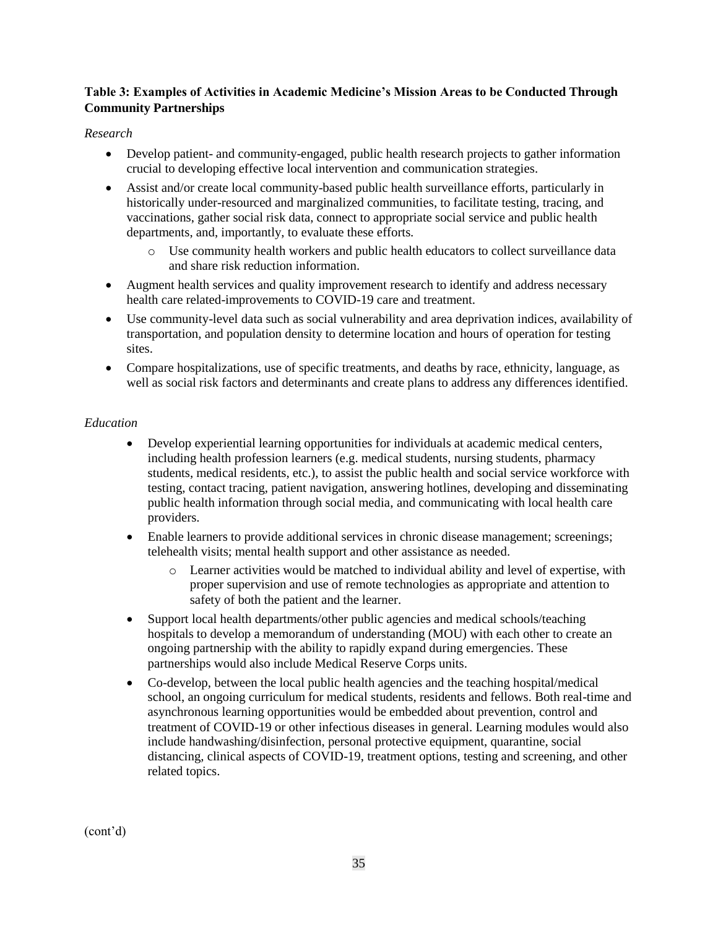## **Table 3: Examples of Activities in Academic Medicine's Mission Areas to be Conducted Through Community Partnerships**

### *Research*

- Develop patient- and community-engaged, public health research projects to gather information crucial to developing effective local intervention and communication strategies.
- Assist and/or create local community-based public health surveillance efforts, particularly in historically under-resourced and marginalized communities, to facilitate testing, tracing, and vaccinations, gather social risk data, connect to appropriate social service and public health departments, and, importantly, to evaluate these efforts.
	- o Use community health workers and public health educators to collect surveillance data and share risk reduction information.
- Augment health services and quality improvement research to identify and address necessary health care related-improvements to COVID-19 care and treatment.
- Use community-level data such as social vulnerability and area deprivation indices, availability of transportation, and population density to determine location and hours of operation for testing sites.
- Compare hospitalizations, use of specific treatments, and deaths by race, ethnicity, language, as well as social risk factors and determinants and create plans to address any differences identified.

## *Education*

- Develop experiential learning opportunities for individuals at academic medical centers, including health profession learners (e.g. medical students, nursing students, pharmacy students, medical residents, etc.), to assist the public health and social service workforce with testing, contact tracing, patient navigation, answering hotlines, developing and disseminating public health information through social media, and communicating with local health care providers.
- Enable learners to provide additional services in chronic disease management; screenings; telehealth visits; mental health support and other assistance as needed.
	- o Learner activities would be matched to individual ability and level of expertise, with proper supervision and use of remote technologies as appropriate and attention to safety of both the patient and the learner.
- Support local health departments/other public agencies and medical schools/teaching hospitals to develop a memorandum of understanding (MOU) with each other to create an ongoing partnership with the ability to rapidly expand during emergencies. These partnerships would also include Medical Reserve Corps units.
- Co-develop, between the local public health agencies and the teaching hospital/medical school, an ongoing curriculum for medical students, residents and fellows. Both real-time and asynchronous learning opportunities would be embedded about prevention, control and treatment of COVID-19 or other infectious diseases in general. Learning modules would also include handwashing/disinfection, personal protective equipment, quarantine, social distancing, clinical aspects of COVID-19, treatment options, testing and screening, and other related topics.

(cont'd)